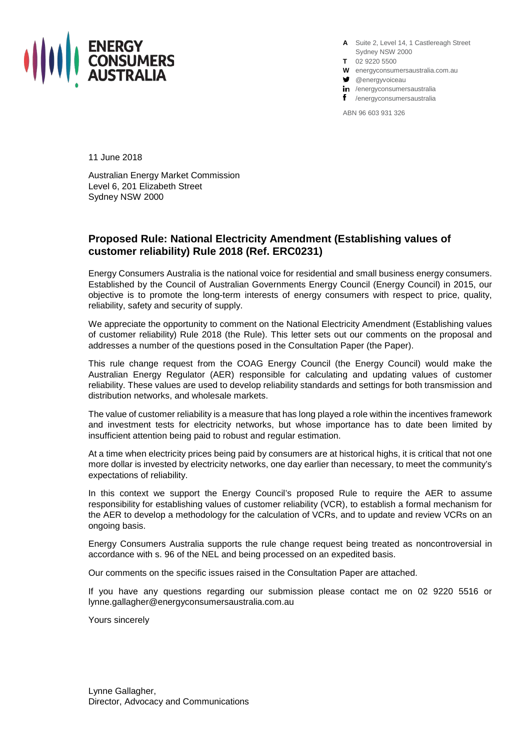

**A** Suite 2, Level 14, 1 Castlereagh Street Sydney NSW 2000

- **T** 02 9220 5500
- **W** energyconsumersaustralia.com.au
- **g** @energyvoiceau
- in /energyconsumersaustralia
- f /energyconsumersaustralia

ABN 96 603 931 326

11 June 2018

Australian Energy Market Commission Level 6, 201 Elizabeth Street Sydney NSW 2000

## **Proposed Rule: National Electricity Amendment (Establishing values of customer reliability) Rule 2018 (Ref. ERC0231)**

Energy Consumers Australia is the national voice for residential and small business energy consumers. Established by the Council of Australian Governments Energy Council (Energy Council) in 2015, our objective is to promote the long-term interests of energy consumers with respect to price, quality, reliability, safety and security of supply.

We appreciate the opportunity to comment on the National Electricity Amendment (Establishing values of customer reliability) Rule 2018 (the Rule). This letter sets out our comments on the proposal and addresses a number of the questions posed in the Consultation Paper (the Paper).

This rule change request from the COAG Energy Council (the Energy Council) would make the Australian Energy Regulator (AER) responsible for calculating and updating values of customer reliability. These values are used to develop reliability standards and settings for both transmission and distribution networks, and wholesale markets.

The value of customer reliability is a measure that has long played a role within the incentives framework and investment tests for electricity networks, but whose importance has to date been limited by insufficient attention being paid to robust and regular estimation.

At a time when electricity prices being paid by consumers are at historical highs, it is critical that not one more dollar is invested by electricity networks, one day earlier than necessary, to meet the community's expectations of reliability.

In this context we support the Energy Council's proposed Rule to require the AER to assume responsibility for establishing values of customer reliability (VCR), to establish a formal mechanism for the AER to develop a methodology for the calculation of VCRs, and to update and review VCRs on an ongoing basis.

Energy Consumers Australia supports the rule change request being treated as noncontroversial in accordance with s. 96 of the NEL and being processed on an expedited basis.

Our comments on the specific issues raised in the Consultation Paper are attached.

If you have any questions regarding our submission please contact me on 02 9220 5516 or lynne.gallagher@energyconsumersaustralia.com.au

Yours sincerely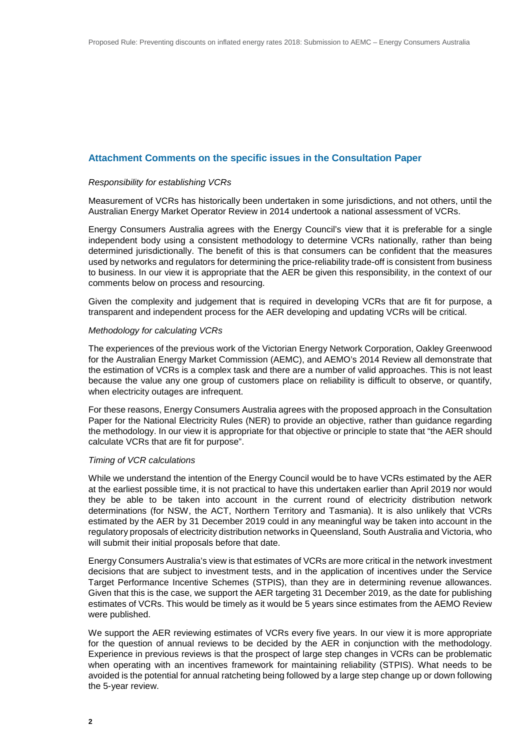#### **Attachment Comments on the specific issues in the Consultation Paper**

#### *Responsibility for establishing VCRs*

Measurement of VCRs has historically been undertaken in some jurisdictions, and not others, until the Australian Energy Market Operator Review in 2014 undertook a national assessment of VCRs.

Energy Consumers Australia agrees with the Energy Council's view that it is preferable for a single independent body using a consistent methodology to determine VCRs nationally, rather than being determined jurisdictionally. The benefit of this is that consumers can be confident that the measures used by networks and regulators for determining the price-reliability trade-off is consistent from business to business. In our view it is appropriate that the AER be given this responsibility, in the context of our comments below on process and resourcing.

Given the complexity and judgement that is required in developing VCRs that are fit for purpose, a transparent and independent process for the AER developing and updating VCRs will be critical.

#### *Methodology for calculating VCRs*

The experiences of the previous work of the Victorian Energy Network Corporation, Oakley Greenwood for the Australian Energy Market Commission (AEMC), and AEMO's 2014 Review all demonstrate that the estimation of VCRs is a complex task and there are a number of valid approaches. This is not least because the value any one group of customers place on reliability is difficult to observe, or quantify, when electricity outages are infrequent.

For these reasons, Energy Consumers Australia agrees with the proposed approach in the Consultation Paper for the National Electricity Rules (NER) to provide an objective, rather than guidance regarding the methodology. In our view it is appropriate for that objective or principle to state that "the AER should calculate VCRs that are fit for purpose".

#### *Timing of VCR calculations*

While we understand the intention of the Energy Council would be to have VCRs estimated by the AER at the earliest possible time, it is not practical to have this undertaken earlier than April 2019 nor would they be able to be taken into account in the current round of electricity distribution network determinations (for NSW, the ACT, Northern Territory and Tasmania). It is also unlikely that VCRs estimated by the AER by 31 December 2019 could in any meaningful way be taken into account in the regulatory proposals of electricity distribution networks in Queensland, South Australia and Victoria, who will submit their initial proposals before that date.

Energy Consumers Australia's view is that estimates of VCRs are more critical in the network investment decisions that are subject to investment tests, and in the application of incentives under the Service Target Performance Incentive Schemes (STPIS), than they are in determining revenue allowances. Given that this is the case, we support the AER targeting 31 December 2019, as the date for publishing estimates of VCRs. This would be timely as it would be 5 years since estimates from the AEMO Review were published.

We support the AER reviewing estimates of VCRs every five years. In our view it is more appropriate for the question of annual reviews to be decided by the AER in conjunction with the methodology. Experience in previous reviews is that the prospect of large step changes in VCRs can be problematic when operating with an incentives framework for maintaining reliability (STPIS). What needs to be avoided is the potential for annual ratcheting being followed by a large step change up or down following the 5-year review.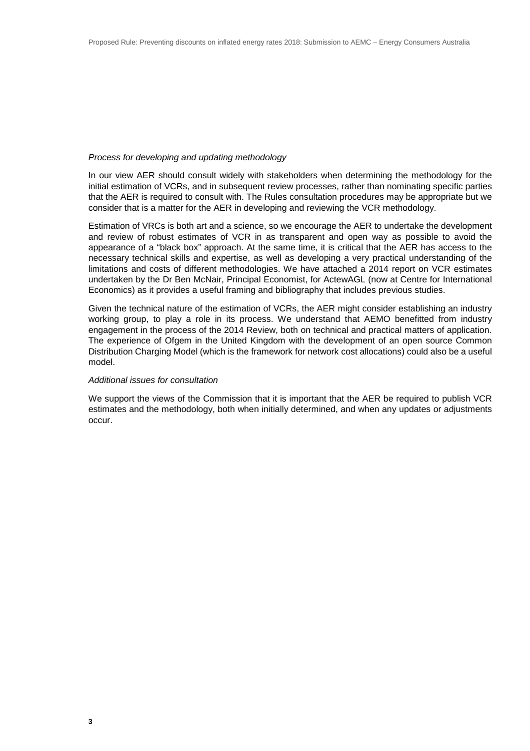#### *Process for developing and updating methodology*

In our view AER should consult widely with stakeholders when determining the methodology for the initial estimation of VCRs, and in subsequent review processes, rather than nominating specific parties that the AER is required to consult with. The Rules consultation procedures may be appropriate but we consider that is a matter for the AER in developing and reviewing the VCR methodology.

Estimation of VRCs is both art and a science, so we encourage the AER to undertake the development and review of robust estimates of VCR in as transparent and open way as possible to avoid the appearance of a "black box" approach. At the same time, it is critical that the AER has access to the necessary technical skills and expertise, as well as developing a very practical understanding of the limitations and costs of different methodologies. We have attached a 2014 report on VCR estimates undertaken by the Dr Ben McNair, Principal Economist, for ActewAGL (now at Centre for International Economics) as it provides a useful framing and bibliography that includes previous studies.

Given the technical nature of the estimation of VCRs, the AER might consider establishing an industry working group, to play a role in its process. We understand that AEMO benefitted from industry engagement in the process of the 2014 Review, both on technical and practical matters of application. The experience of Ofgem in the United Kingdom with the development of an open source Common Distribution Charging Model (which is the framework for network cost allocations) could also be a useful model.

#### *Additional issues for consultation*

We support the views of the Commission that it is important that the AER be required to publish VCR estimates and the methodology, both when initially determined, and when any updates or adjustments occur.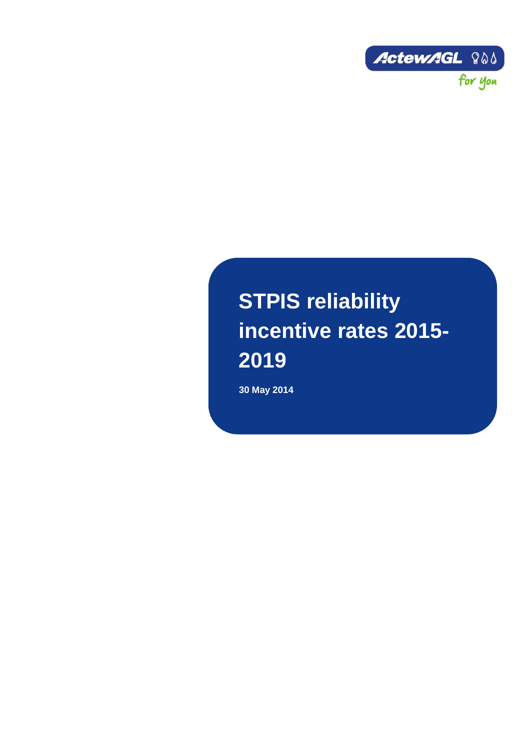

# **STPIS reliability incentive rates 2015- 2019**

**30 May 2014**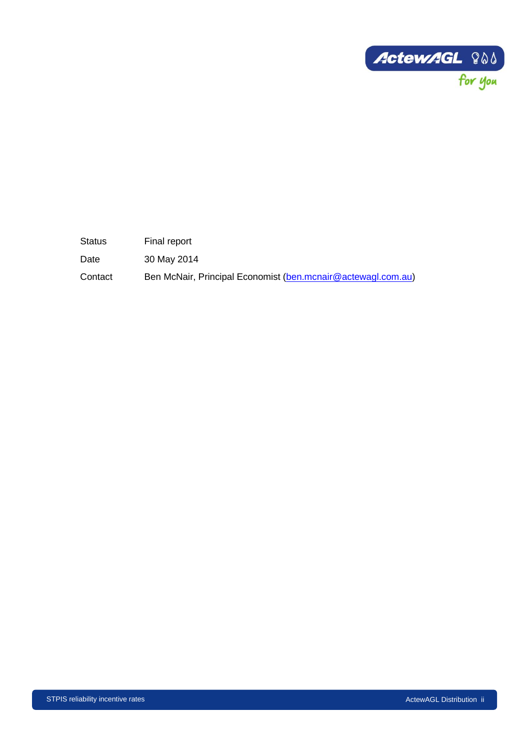

Status Final report

Date 30 May 2014

Contact Ben McNair, Principal Economist [\(ben.mcnair@actewagl.com.au\)](mailto:ben.mcnair@actewagl.com.au)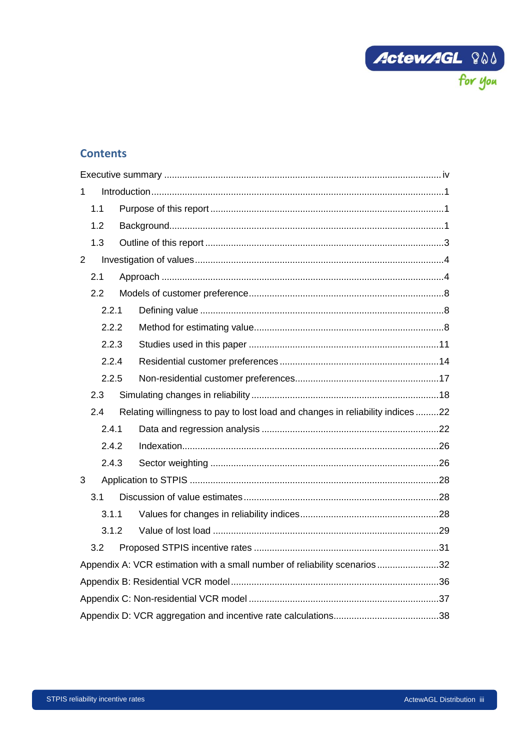

# **Contents**

| 1 |       |  |                                                                                |  |  |
|---|-------|--|--------------------------------------------------------------------------------|--|--|
|   | 1.1   |  |                                                                                |  |  |
|   | 1.2   |  |                                                                                |  |  |
|   | 1.3   |  |                                                                                |  |  |
| 2 |       |  |                                                                                |  |  |
|   | 2.1   |  |                                                                                |  |  |
|   | 2.2   |  |                                                                                |  |  |
|   | 2.2.1 |  |                                                                                |  |  |
|   | 2.2.2 |  |                                                                                |  |  |
|   | 2.2.3 |  |                                                                                |  |  |
|   | 2.2.4 |  |                                                                                |  |  |
|   | 2.2.5 |  |                                                                                |  |  |
|   | 2.3   |  |                                                                                |  |  |
|   | 2.4   |  | Relating willingness to pay to lost load and changes in reliability indices 22 |  |  |
|   | 2.4.1 |  |                                                                                |  |  |
|   | 2.4.2 |  |                                                                                |  |  |
|   | 2.4.3 |  |                                                                                |  |  |
| 3 |       |  |                                                                                |  |  |
|   | 3.1   |  |                                                                                |  |  |
|   | 3.1.1 |  |                                                                                |  |  |
|   | 3.1.2 |  |                                                                                |  |  |
|   | 3.2   |  |                                                                                |  |  |
|   |       |  | Appendix A: VCR estimation with a small number of reliability scenarios 32     |  |  |
|   |       |  |                                                                                |  |  |
|   |       |  |                                                                                |  |  |
|   |       |  |                                                                                |  |  |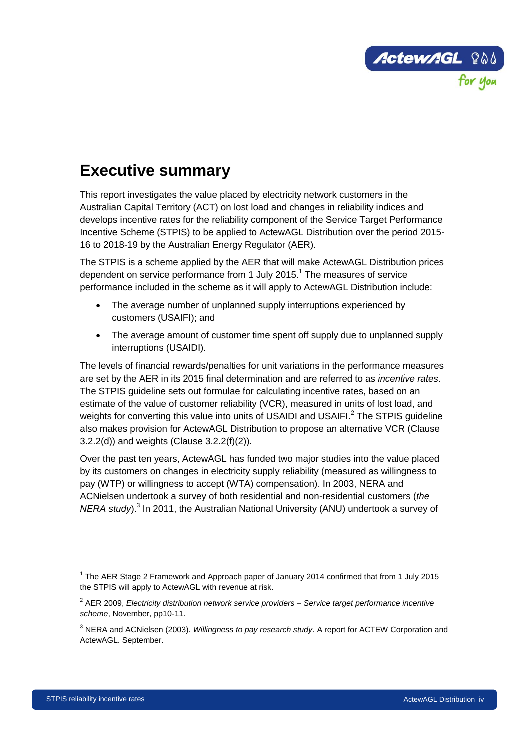

# <span id="page-6-0"></span>**Executive summary**

This report investigates the value placed by electricity network customers in the Australian Capital Territory (ACT) on lost load and changes in reliability indices and develops incentive rates for the reliability component of the Service Target Performance Incentive Scheme (STPIS) to be applied to ActewAGL Distribution over the period 2015- 16 to 2018-19 by the Australian Energy Regulator (AER).

The STPIS is a scheme applied by the AER that will make ActewAGL Distribution prices dependent on service performance from 1 July 2015.<sup>1</sup> The measures of service performance included in the scheme as it will apply to ActewAGL Distribution include:

- The average number of unplanned supply interruptions experienced by customers (USAIFI); and
- The average amount of customer time spent off supply due to unplanned supply interruptions (USAIDI).

The levels of financial rewards/penalties for unit variations in the performance measures are set by the AER in its 2015 final determination and are referred to as *incentive rates*. The STPIS guideline sets out formulae for calculating incentive rates, based on an estimate of the value of customer reliability (VCR), measured in units of lost load, and weights for converting this value into units of USAIDI and USAIFI. $^2$  The STPIS guideline also makes provision for ActewAGL Distribution to propose an alternative VCR (Clause 3.2.2(d)) and weights (Clause 3.2.2(f)(2)).

Over the past ten years, ActewAGL has funded two major studies into the value placed by its customers on changes in electricity supply reliability (measured as willingness to pay (WTP) or willingness to accept (WTA) compensation). In 2003, NERA and ACNielsen undertook a survey of both residential and non-residential customers (*the NERA study*).<sup>3</sup> In 2011, the Australian National University (ANU) undertook a survey of

<sup>&</sup>lt;sup>1</sup> The AER Stage 2 Framework and Approach paper of January 2014 confirmed that from 1 July 2015 the STPIS will apply to ActewAGL with revenue at risk.

<sup>2</sup> AER 2009, *Electricity distribution network service providers – Service target performance incentive scheme*, November, pp10-11.

<sup>3</sup> NERA and ACNielsen (2003). *Willingness to pay research study*. A report for ACTEW Corporation and ActewAGL. September.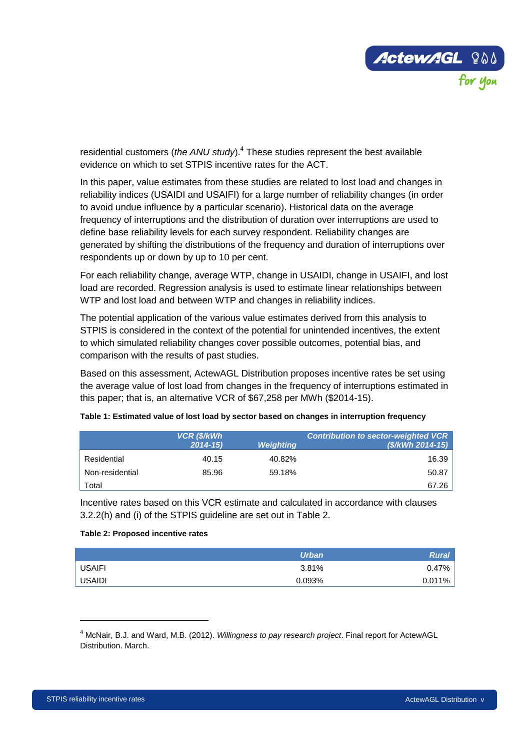

residential customers (*the ANU study*).<sup>4</sup> These studies represent the best available evidence on which to set STPIS incentive rates for the ACT.

In this paper, value estimates from these studies are related to lost load and changes in reliability indices (USAIDI and USAIFI) for a large number of reliability changes (in order to avoid undue influence by a particular scenario). Historical data on the average frequency of interruptions and the distribution of duration over interruptions are used to define base reliability levels for each survey respondent. Reliability changes are generated by shifting the distributions of the frequency and duration of interruptions over respondents up or down by up to 10 per cent.

For each reliability change, average WTP, change in USAIDI, change in USAIFI, and lost load are recorded. Regression analysis is used to estimate linear relationships between WTP and lost load and between WTP and changes in reliability indices.

The potential application of the various value estimates derived from this analysis to STPIS is considered in the context of the potential for unintended incentives, the extent to which simulated reliability changes cover possible outcomes, potential bias, and comparison with the results of past studies.

Based on this assessment, ActewAGL Distribution proposes incentive rates be set using the average value of lost load from changes in the frequency of interruptions estimated in this paper; that is, an alternative VCR of \$67,258 per MWh (\$2014-15).

|                 | <b>VCR (\$/kWh</b><br>$2014 - 15$ | <b>Weighting</b> | <b>Contribution to sector-weighted VCR</b><br>(\$/kWh 2014-15) |
|-----------------|-----------------------------------|------------------|----------------------------------------------------------------|
| Residential     | 40.15                             | 40.82%           | 16.39                                                          |
| Non-residential | 85.96                             | 59.18%           | 50.87                                                          |
| Гоtal           |                                   |                  | 67.26                                                          |

| Table 1: Estimated value of lost load by sector based on changes in interruption frequency |  |
|--------------------------------------------------------------------------------------------|--|
|                                                                                            |  |
|                                                                                            |  |

Incentive rates based on this VCR estimate and calculated in accordance with clauses 3.2.2(h) and (i) of the STPIS guideline are set out in [Table 2.](#page-7-0)

#### <span id="page-7-0"></span>**Table 2: Proposed incentive rates**

|               | <b>Urban</b> | <b>Rural</b> |
|---------------|--------------|--------------|
| USAIFI        | 3.81%        | 0.47%        |
| <b>USAIDI</b> | 0.093%       | 0.011%       |

<sup>4</sup> McNair, B.J. and Ward, M.B. (2012). *Willingness to pay research project*. Final report for ActewAGL Distribution. March.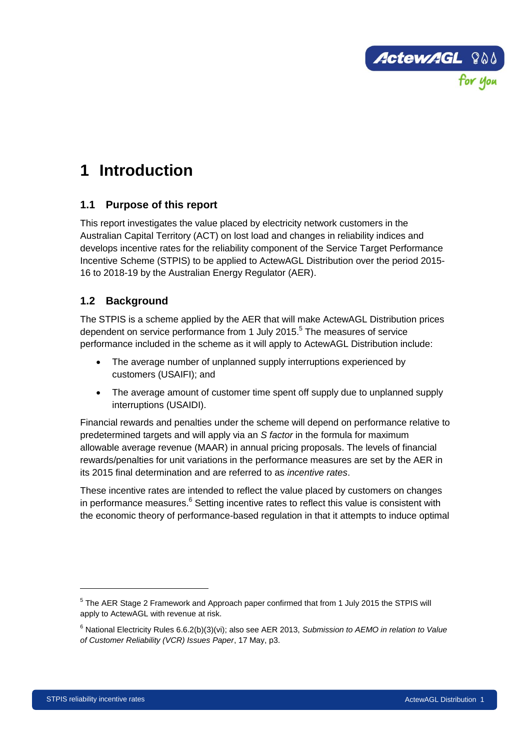

# <span id="page-8-0"></span>**1 Introduction**

# <span id="page-8-1"></span>**1.1 Purpose of this report**

This report investigates the value placed by electricity network customers in the Australian Capital Territory (ACT) on lost load and changes in reliability indices and develops incentive rates for the reliability component of the Service Target Performance Incentive Scheme (STPIS) to be applied to ActewAGL Distribution over the period 2015- 16 to 2018-19 by the Australian Energy Regulator (AER).

# <span id="page-8-2"></span>**1.2 Background**

The STPIS is a scheme applied by the AER that will make ActewAGL Distribution prices dependent on service performance from 1 July 2015.<sup>5</sup> The measures of service performance included in the scheme as it will apply to ActewAGL Distribution include:

- The average number of unplanned supply interruptions experienced by customers (USAIFI); and
- The average amount of customer time spent off supply due to unplanned supply interruptions (USAIDI).

Financial rewards and penalties under the scheme will depend on performance relative to predetermined targets and will apply via an *S factor* in the formula for maximum allowable average revenue (MAAR) in annual pricing proposals. The levels of financial rewards/penalties for unit variations in the performance measures are set by the AER in its 2015 final determination and are referred to as *incentive rates*.

These incentive rates are intended to reflect the value placed by customers on changes in performance measures.<sup>6</sup> Setting incentive rates to reflect this value is consistent with the economic theory of performance-based regulation in that it attempts to induce optimal

 $<sup>5</sup>$  The AER Stage 2 Framework and Approach paper confirmed that from 1 July 2015 the STPIS will</sup> apply to ActewAGL with revenue at risk.

<sup>6</sup> National Electricity Rules 6.6.2(b)(3)(vi); also see AER 2013, *Submission to AEMO in relation to Value of Customer Reliability (VCR) Issues Paper*, 17 May, p3.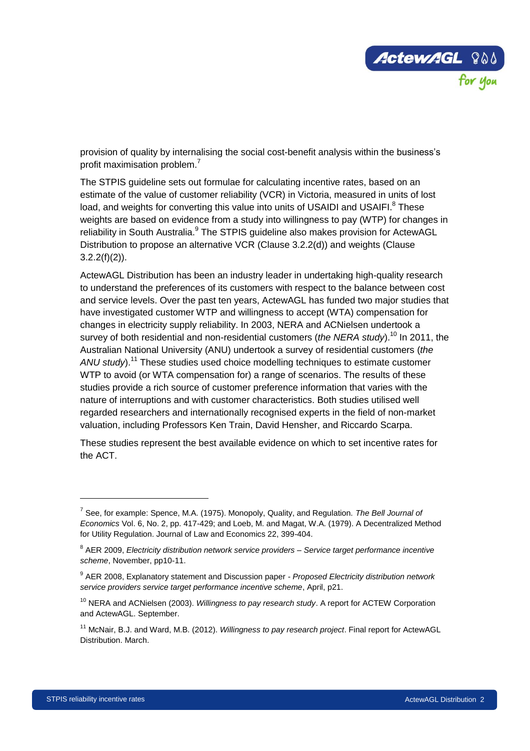

provision of quality by internalising the social cost-benefit analysis within the business's profit maximisation problem.<sup>7</sup>

The STPIS guideline sets out formulae for calculating incentive rates, based on an estimate of the value of customer reliability (VCR) in Victoria, measured in units of lost load, and weights for converting this value into units of USAIDI and USAIFI.<sup>8</sup> These weights are based on evidence from a study into willingness to pay (WTP) for changes in reliability in South Australia.<sup>9</sup> The STPIS guideline also makes provision for ActewAGL Distribution to propose an alternative VCR (Clause 3.2.2(d)) and weights (Clause  $3.2.2(f)(2)$ ).

ActewAGL Distribution has been an industry leader in undertaking high-quality research to understand the preferences of its customers with respect to the balance between cost and service levels. Over the past ten years, ActewAGL has funded two major studies that have investigated customer WTP and willingness to accept (WTA) compensation for changes in electricity supply reliability. In 2003, NERA and ACNielsen undertook a survey of both residential and non-residential customers (*the NERA study*). <sup>10</sup> In 2011, the Australian National University (ANU) undertook a survey of residential customers (*the ANU study*). <sup>11</sup> These studies used choice modelling techniques to estimate customer WTP to avoid (or WTA compensation for) a range of scenarios. The results of these studies provide a rich source of customer preference information that varies with the nature of interruptions and with customer characteristics. Both studies utilised well regarded researchers and internationally recognised experts in the field of non-market valuation, including Professors Ken Train, David Hensher, and Riccardo Scarpa.

These studies represent the best available evidence on which to set incentive rates for the ACT.

<sup>7</sup> See, for example: Spence, M.A. (1975). Monopoly, Quality, and Regulation. *The Bell Journal of Economics* Vol. 6, No. 2, pp. 417-429; and Loeb, M. and Magat, W.A. (1979). A Decentralized Method for Utility Regulation. Journal of Law and Economics 22, 399-404.

<sup>8</sup> AER 2009, *Electricity distribution network service providers – Service target performance incentive scheme*, November, pp10-11.

<sup>9</sup> AER 2008, Explanatory statement and Discussion paper - *Proposed Electricity distribution network service providers service target performance incentive scheme*, April, p21.

<sup>10</sup> NERA and ACNielsen (2003). *Willingness to pay research study*. A report for ACTEW Corporation and ActewAGL. September.

<sup>11</sup> McNair, B.J. and Ward, M.B. (2012). *Willingness to pay research project*. Final report for ActewAGL Distribution. March.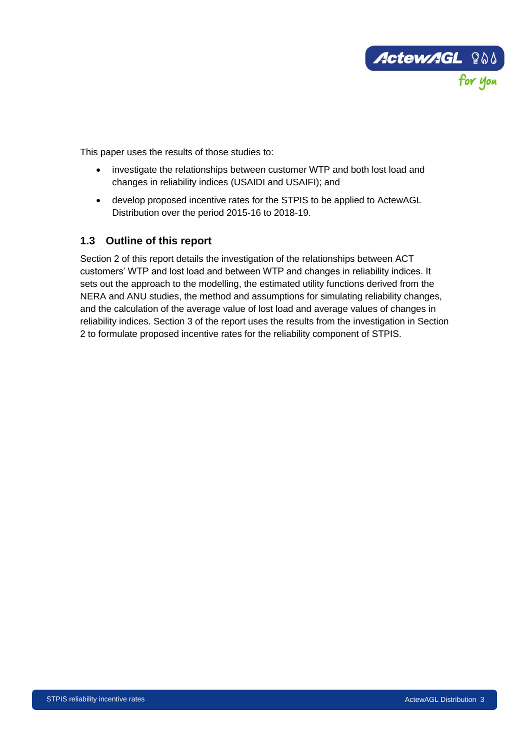

This paper uses the results of those studies to:

- investigate the relationships between customer WTP and both lost load and changes in reliability indices (USAIDI and USAIFI); and
- develop proposed incentive rates for the STPIS to be applied to ActewAGL Distribution over the period 2015-16 to 2018-19.

# <span id="page-10-0"></span>**1.3 Outline of this report**

Section 2 of this report details the investigation of the relationships between ACT customers' WTP and lost load and between WTP and changes in reliability indices. It sets out the approach to the modelling, the estimated utility functions derived from the NERA and ANU studies, the method and assumptions for simulating reliability changes, and the calculation of the average value of lost load and average values of changes in reliability indices. Section 3 of the report uses the results from the investigation in Section 2 to formulate proposed incentive rates for the reliability component of STPIS.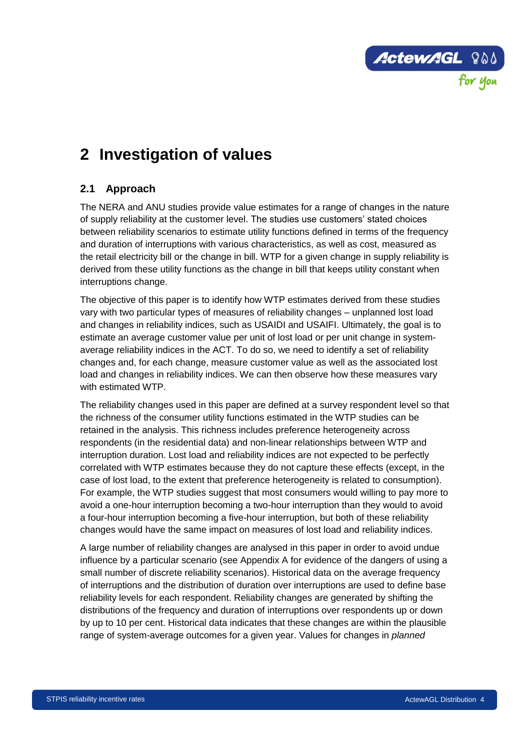

# <span id="page-11-0"></span>**2 Investigation of values**

# <span id="page-11-1"></span>**2.1 Approach**

The NERA and ANU studies provide value estimates for a range of changes in the nature of supply reliability at the customer level. The studies use customers' stated choices between reliability scenarios to estimate utility functions defined in terms of the frequency and duration of interruptions with various characteristics, as well as cost, measured as the retail electricity bill or the change in bill. WTP for a given change in supply reliability is derived from these utility functions as the change in bill that keeps utility constant when interruptions change.

The objective of this paper is to identify how WTP estimates derived from these studies vary with two particular types of measures of reliability changes – unplanned lost load and changes in reliability indices, such as USAIDI and USAIFI. Ultimately, the goal is to estimate an average customer value per unit of lost load or per unit change in systemaverage reliability indices in the ACT. To do so, we need to identify a set of reliability changes and, for each change, measure customer value as well as the associated lost load and changes in reliability indices. We can then observe how these measures vary with estimated WTP.

The reliability changes used in this paper are defined at a survey respondent level so that the richness of the consumer utility functions estimated in the WTP studies can be retained in the analysis. This richness includes preference heterogeneity across respondents (in the residential data) and non-linear relationships between WTP and interruption duration. Lost load and reliability indices are not expected to be perfectly correlated with WTP estimates because they do not capture these effects (except, in the case of lost load, to the extent that preference heterogeneity is related to consumption). For example, the WTP studies suggest that most consumers would willing to pay more to avoid a one-hour interruption becoming a two-hour interruption than they would to avoid a four-hour interruption becoming a five-hour interruption, but both of these reliability changes would have the same impact on measures of lost load and reliability indices.

A large number of reliability changes are analysed in this paper in order to avoid undue influence by a particular scenario (see Appendix A for evidence of the dangers of using a small number of discrete reliability scenarios). Historical data on the average frequency of interruptions and the distribution of duration over interruptions are used to define base reliability levels for each respondent. Reliability changes are generated by shifting the distributions of the frequency and duration of interruptions over respondents up or down by up to 10 per cent. Historical data indicates that these changes are within the plausible range of system-average outcomes for a given year. Values for changes in *planned*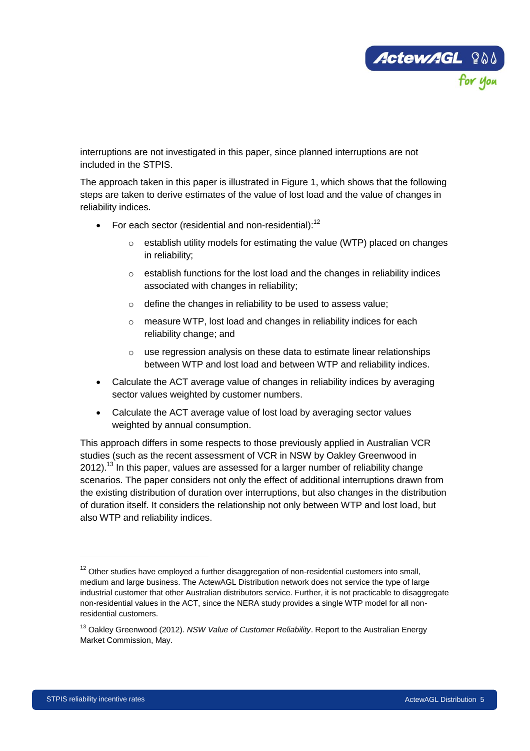

interruptions are not investigated in this paper, since planned interruptions are not included in the STPIS.

The approach taken in this paper is illustrated in [Figure 1,](#page-14-0) which shows that the following steps are taken to derive estimates of the value of lost load and the value of changes in reliability indices.

- For each sector (residential and non-residential):<sup>12</sup>
	- o establish utility models for estimating the value (WTP) placed on changes in reliability;
	- o establish functions for the lost load and the changes in reliability indices associated with changes in reliability;
	- o define the changes in reliability to be used to assess value;
	- o measure WTP, lost load and changes in reliability indices for each reliability change; and
	- o use regression analysis on these data to estimate linear relationships between WTP and lost load and between WTP and reliability indices.
- Calculate the ACT average value of changes in reliability indices by averaging sector values weighted by customer numbers.
- Calculate the ACT average value of lost load by averaging sector values weighted by annual consumption.

This approach differs in some respects to those previously applied in Australian VCR studies (such as the recent assessment of VCR in NSW by Oakley Greenwood in 2012).<sup>13</sup> In this paper, values are assessed for a larger number of reliability change scenarios. The paper considers not only the effect of additional interruptions drawn from the existing distribution of duration over interruptions, but also changes in the distribution of duration itself. It considers the relationship not only between WTP and lost load, but also WTP and reliability indices.

 $12$  Other studies have employed a further disaggregation of non-residential customers into small, medium and large business. The ActewAGL Distribution network does not service the type of large industrial customer that other Australian distributors service. Further, it is not practicable to disaggregate non-residential values in the ACT, since the NERA study provides a single WTP model for all nonresidential customers.

<sup>13</sup> Oakley Greenwood (2012). *NSW Value of Customer Reliability*. Report to the Australian Energy Market Commission, May.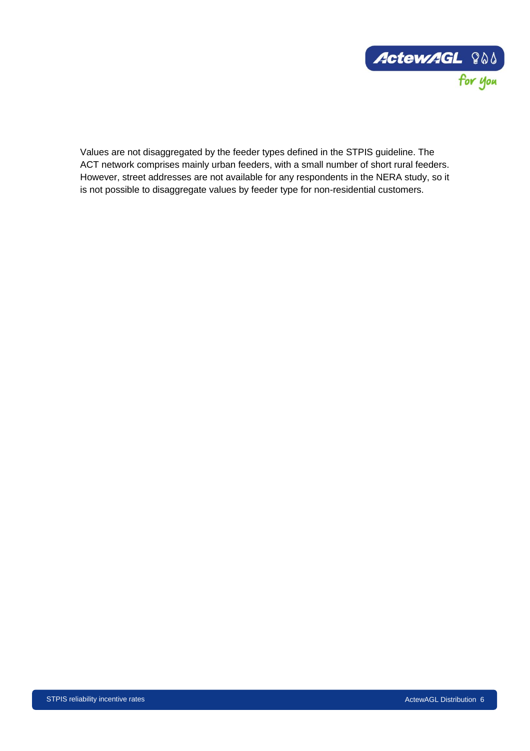

Values are not disaggregated by the feeder types defined in the STPIS guideline. The ACT network comprises mainly urban feeders, with a small number of short rural feeders. However, street addresses are not available for any respondents in the NERA study, so it is not possible to disaggregate values by feeder type for non-residential customers.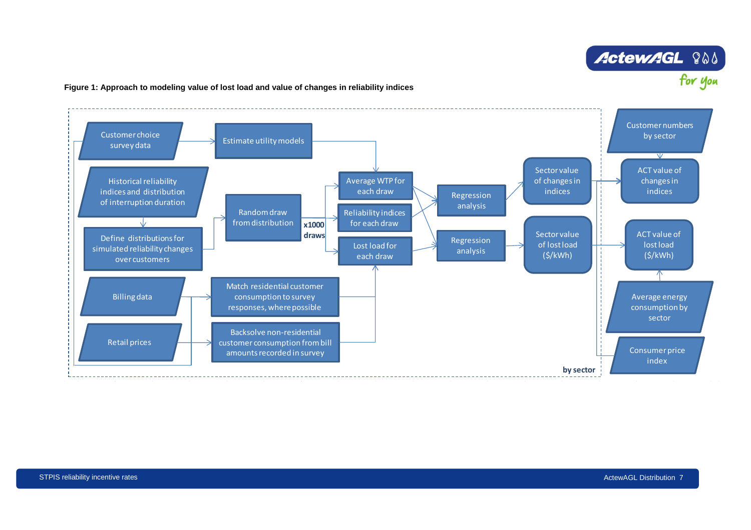# **ActewAGL ? Address**

#### **Figure 1: Approach to modeling value of lost load and value of changes in reliability indices**

<span id="page-14-0"></span>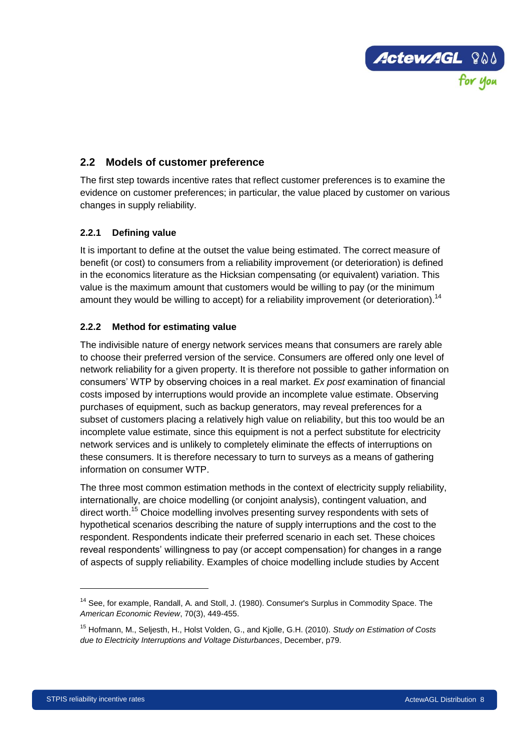

# <span id="page-15-0"></span>**2.2 Models of customer preference**

The first step towards incentive rates that reflect customer preferences is to examine the evidence on customer preferences; in particular, the value placed by customer on various changes in supply reliability.

## <span id="page-15-1"></span>**2.2.1 Defining value**

It is important to define at the outset the value being estimated. The correct measure of benefit (or cost) to consumers from a reliability improvement (or deterioration) is defined in the economics literature as the Hicksian compensating (or equivalent) variation. This value is the maximum amount that customers would be willing to pay (or the minimum amount they would be willing to accept) for a reliability improvement (or deterioration).<sup>14</sup>

## <span id="page-15-2"></span>**2.2.2 Method for estimating value**

The indivisible nature of energy network services means that consumers are rarely able to choose their preferred version of the service. Consumers are offered only one level of network reliability for a given property. It is therefore not possible to gather information on consumers' WTP by observing choices in a real market. *Ex post* examination of financial costs imposed by interruptions would provide an incomplete value estimate. Observing purchases of equipment, such as backup generators, may reveal preferences for a subset of customers placing a relatively high value on reliability, but this too would be an incomplete value estimate, since this equipment is not a perfect substitute for electricity network services and is unlikely to completely eliminate the effects of interruptions on these consumers. It is therefore necessary to turn to surveys as a means of gathering information on consumer WTP.

The three most common estimation methods in the context of electricity supply reliability, internationally, are choice modelling (or conjoint analysis), contingent valuation, and direct worth.<sup>15</sup> Choice modelling involves presenting survey respondents with sets of hypothetical scenarios describing the nature of supply interruptions and the cost to the respondent. Respondents indicate their preferred scenario in each set. These choices reveal respondents' willingness to pay (or accept compensation) for changes in a range of aspects of supply reliability. Examples of choice modelling include studies by Accent

<sup>&</sup>lt;sup>14</sup> See, for example, Randall, A. and Stoll, J. (1980). Consumer's Surplus in Commodity Space. The *American Economic Review*, 70(3), 449-455.

<sup>15</sup> Hofmann, M., Seljesth, H., Holst Volden, G., and Kjolle, G.H. (2010). *Study on Estimation of Costs due to Electricity Interruptions and Voltage Disturbances*, December, p79.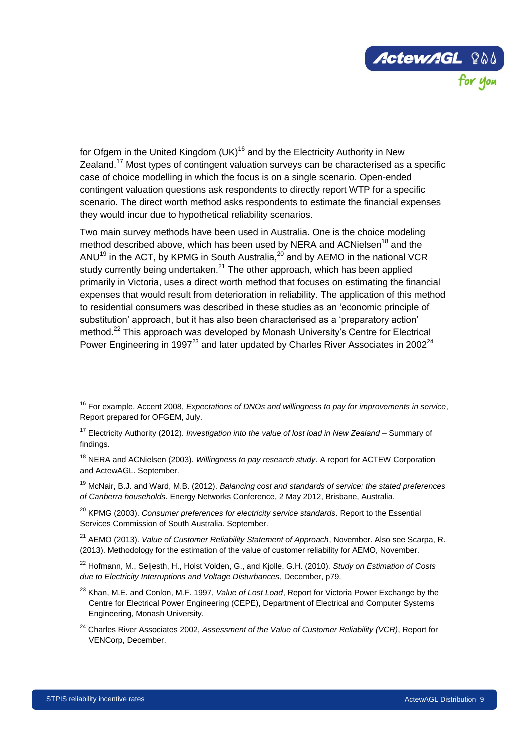

for Ofgem in the United Kingdom  $(UK)^{16}$  and by the Electricity Authority in New Zealand.<sup>17</sup> Most types of contingent valuation surveys can be characterised as a specific case of choice modelling in which the focus is on a single scenario. Open-ended contingent valuation questions ask respondents to directly report WTP for a specific scenario. The direct worth method asks respondents to estimate the financial expenses they would incur due to hypothetical reliability scenarios.

Two main survey methods have been used in Australia. One is the choice modeling method described above, which has been used by NERA and ACNielsen<sup>18</sup> and the ANU<sup>19</sup> in the ACT, by KPMG in South Australia,<sup>20</sup> and by AEMO in the national VCR study currently being undertaken. $^{21}$  The other approach, which has been applied primarily in Victoria, uses a direct worth method that focuses on estimating the financial expenses that would result from deterioration in reliability. The application of this method to residential consumers was described in these studies as an 'economic principle of substitution' approach, but it has also been characterised as a 'preparatory action' method.<sup>22</sup> This approach was developed by Monash University's Centre for Electrical Power Engineering in 1997 $^{23}$  and later updated by Charles River Associates in 2002 $^{24}$ 

- <sup>20</sup> KPMG (2003). *Consumer preferences for electricity service standards*. Report to the Essential Services Commission of South Australia. September.
- <sup>21</sup> AEMO (2013). *Value of Customer Reliability Statement of Approach*, November. Also see Scarpa, R. (2013). Methodology for the estimation of the value of customer reliability for AEMO, November.
- <sup>22</sup> Hofmann, M., Seljesth, H., Holst Volden, G., and Kjolle, G.H. (2010). *Study on Estimation of Costs due to Electricity Interruptions and Voltage Disturbances*, December, p79.
- <sup>23</sup> Khan, M.E. and Conlon, M.F. 1997, *Value of Lost Load*, Report for Victoria Power Exchange by the Centre for Electrical Power Engineering (CEPE), Department of Electrical and Computer Systems Engineering, Monash University.
- <sup>24</sup> Charles River Associates 2002, *Assessment of the Value of Customer Reliability (VCR)*, Report for VENCorp, December.

<sup>16</sup> For example, Accent 2008, *Expectations of DNOs and willingness to pay for improvements in service*, Report prepared for OFGEM, July.

<sup>17</sup> Electricity Authority (2012). *Investigation into the value of lost load in New Zealand* – Summary of findings.

<sup>18</sup> NERA and ACNielsen (2003). *Willingness to pay research study*. A report for ACTEW Corporation and ActewAGL. September.

<sup>19</sup> McNair, B.J. and Ward, M.B. (2012). *Balancing cost and standards of service: the stated preferences of Canberra households*. Energy Networks Conference, 2 May 2012, Brisbane, Australia.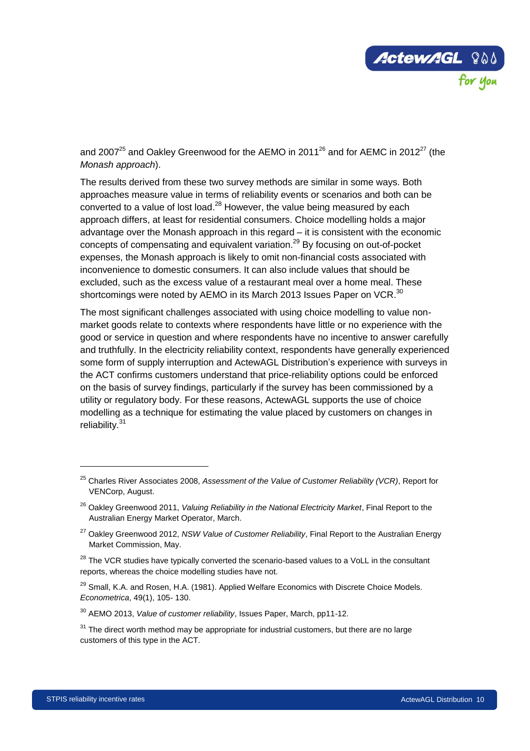

and 2007<sup>25</sup> and Oakley Greenwood for the AEMO in 2011<sup>26</sup> and for AEMC in 2012<sup>27</sup> (the *Monash approach*).

The results derived from these two survey methods are similar in some ways. Both approaches measure value in terms of reliability events or scenarios and both can be converted to a value of lost load.<sup>28</sup> However, the value being measured by each approach differs, at least for residential consumers. Choice modelling holds a major advantage over the Monash approach in this regard – it is consistent with the economic concepts of compensating and equivalent variation.<sup>29</sup> By focusing on out-of-pocket expenses, the Monash approach is likely to omit non-financial costs associated with inconvenience to domestic consumers. It can also include values that should be excluded, such as the excess value of a restaurant meal over a home meal. These shortcomings were noted by AEMO in its March 2013 Issues Paper on VCR.<sup>30</sup>

The most significant challenges associated with using choice modelling to value nonmarket goods relate to contexts where respondents have little or no experience with the good or service in question and where respondents have no incentive to answer carefully and truthfully. In the electricity reliability context, respondents have generally experienced some form of supply interruption and ActewAGL Distribution's experience with surveys in the ACT confirms customers understand that price-reliability options could be enforced on the basis of survey findings, particularly if the survey has been commissioned by a utility or regulatory body. For these reasons, ActewAGL supports the use of choice modelling as a technique for estimating the value placed by customers on changes in reliability.<sup>31</sup>

 $\ddot{ }$ 

<sup>25</sup> Charles River Associates 2008, *Assessment of the Value of Customer Reliability (VCR)*, Report for VENCorp, August.

<sup>26</sup> Oakley Greenwood 2011, *Valuing Reliability in the National Electricity Market*, Final Report to the Australian Energy Market Operator, March.

<sup>27</sup> Oakley Greenwood 2012, *NSW Value of Customer Reliability*, Final Report to the Australian Energy Market Commission, May.

 $28$  The VCR studies have typically converted the scenario-based values to a VoLL in the consultant reports, whereas the choice modelling studies have not.

<sup>&</sup>lt;sup>29</sup> Small, K.A. and Rosen, H.A. (1981). Applied Welfare Economics with Discrete Choice Models. *Econometrica*, 49(1), 105- 130.

<sup>30</sup> AEMO 2013, *Value of customer reliability*, Issues Paper, March, pp11-12.

 $31$  The direct worth method may be appropriate for industrial customers, but there are no large customers of this type in the ACT.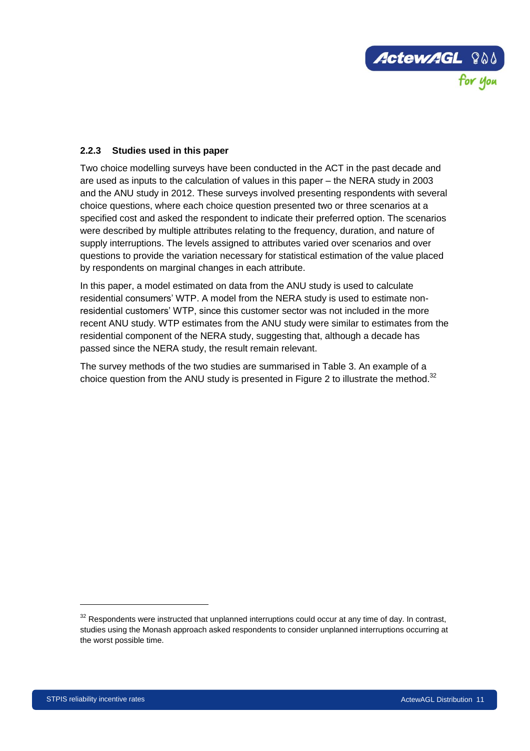

## <span id="page-18-0"></span>**2.2.3 Studies used in this paper**

Two choice modelling surveys have been conducted in the ACT in the past decade and are used as inputs to the calculation of values in this paper – the NERA study in 2003 and the ANU study in 2012. These surveys involved presenting respondents with several choice questions, where each choice question presented two or three scenarios at a specified cost and asked the respondent to indicate their preferred option. The scenarios were described by multiple attributes relating to the frequency, duration, and nature of supply interruptions. The levels assigned to attributes varied over scenarios and over questions to provide the variation necessary for statistical estimation of the value placed by respondents on marginal changes in each attribute.

In this paper, a model estimated on data from the ANU study is used to calculate residential consumers' WTP. A model from the NERA study is used to estimate nonresidential customers' WTP, since this customer sector was not included in the more recent ANU study. WTP estimates from the ANU study were similar to estimates from the residential component of the NERA study, suggesting that, although a decade has passed since the NERA study, the result remain relevant.

The survey methods of the two studies are summarised in [Table 3.](#page-19-0) An example of a choice question from the ANU study is presented in [Figure 2](#page-21-1) to illustrate the method.<sup>32</sup>

 $32$  Respondents were instructed that unplanned interruptions could occur at any time of day. In contrast, studies using the Monash approach asked respondents to consider unplanned interruptions occurring at the worst possible time.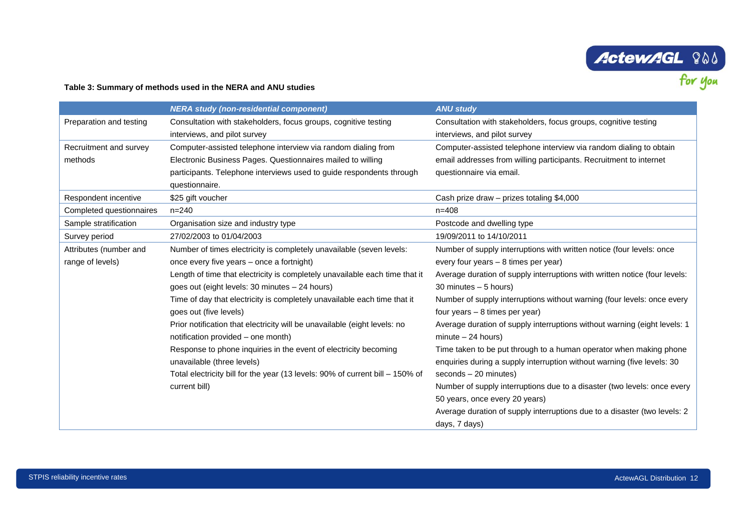# **ActewAGL ? OD**

#### **Table 3: Summary of methods used in the NERA and ANU studies**

<span id="page-19-0"></span>

|                          | <b>NERA study (non-residential component)</b>                                 | <b>ANU study</b>                                                           |
|--------------------------|-------------------------------------------------------------------------------|----------------------------------------------------------------------------|
| Preparation and testing  | Consultation with stakeholders, focus groups, cognitive testing               | Consultation with stakeholders, focus groups, cognitive testing            |
|                          | interviews, and pilot survey                                                  | interviews, and pilot survey                                               |
| Recruitment and survey   | Computer-assisted telephone interview via random dialing from                 | Computer-assisted telephone interview via random dialing to obtain         |
| methods                  | Electronic Business Pages. Questionnaires mailed to willing                   | email addresses from willing participants. Recruitment to internet         |
|                          | participants. Telephone interviews used to guide respondents through          | questionnaire via email.                                                   |
|                          | questionnaire.                                                                |                                                                            |
| Respondent incentive     | \$25 gift voucher                                                             | Cash prize draw - prizes totaling \$4,000                                  |
| Completed questionnaires | $n = 240$                                                                     | $n = 408$                                                                  |
| Sample stratification    | Organisation size and industry type                                           | Postcode and dwelling type                                                 |
| Survey period            | 27/02/2003 to 01/04/2003                                                      | 19/09/2011 to 14/10/2011                                                   |
| Attributes (number and   | Number of times electricity is completely unavailable (seven levels:          | Number of supply interruptions with written notice (four levels: once      |
| range of levels)         | once every five years – once a fortnight)                                     | every four years - 8 times per year)                                       |
|                          | Length of time that electricity is completely unavailable each time that it   | Average duration of supply interruptions with written notice (four levels: |
|                          | goes out (eight levels: 30 minutes - 24 hours)                                | 30 minutes - 5 hours)                                                      |
|                          | Time of day that electricity is completely unavailable each time that it      | Number of supply interruptions without warning (four levels: once every    |
|                          | goes out (five levels)                                                        | four years - 8 times per year)                                             |
|                          | Prior notification that electricity will be unavailable (eight levels: no     | Average duration of supply interruptions without warning (eight levels: 1  |
|                          | notification provided – one month)                                            | $minute - 24 hours)$                                                       |
|                          | Response to phone inquiries in the event of electricity becoming              | Time taken to be put through to a human operator when making phone         |
|                          | unavailable (three levels)                                                    | enquiries during a supply interruption without warning (five levels: 30    |
|                          | Total electricity bill for the year (13 levels: 90% of current bill - 150% of | $seconds - 20$ minutes)                                                    |
|                          | current bill)                                                                 | Number of supply interruptions due to a disaster (two levels: once every   |
|                          |                                                                               | 50 years, once every 20 years)                                             |
|                          |                                                                               | Average duration of supply interruptions due to a disaster (two levels: 2) |
|                          |                                                                               | days, 7 days)                                                              |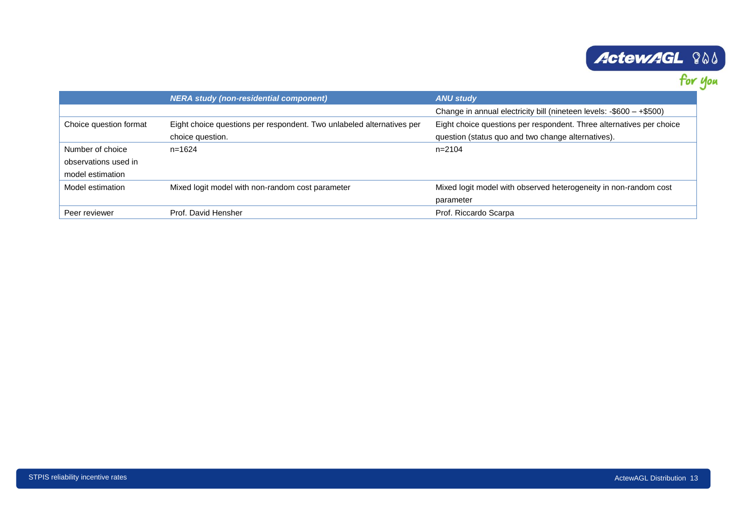# **ActewAGL ? OS**

|                        | <b>NERA study (non-residential component)</b>                         | <b>ANU study</b>                                                     |
|------------------------|-----------------------------------------------------------------------|----------------------------------------------------------------------|
|                        |                                                                       | Change in annual electricity bill (nineteen levels: -\$600 - +\$500) |
| Choice question format | Eight choice questions per respondent. Two unlabeled alternatives per | Eight choice questions per respondent. Three alternatives per choice |
|                        | choice question.                                                      | question (status quo and two change alternatives).                   |
| Number of choice       | $n = 1624$                                                            | n=2104                                                               |
| observations used in   |                                                                       |                                                                      |
| model estimation       |                                                                       |                                                                      |
| Model estimation       | Mixed logit model with non-random cost parameter                      | Mixed logit model with observed heterogeneity in non-random cost     |
|                        |                                                                       | parameter                                                            |
| Peer reviewer          | Prof. David Hensher                                                   | Prof. Riccardo Scarpa                                                |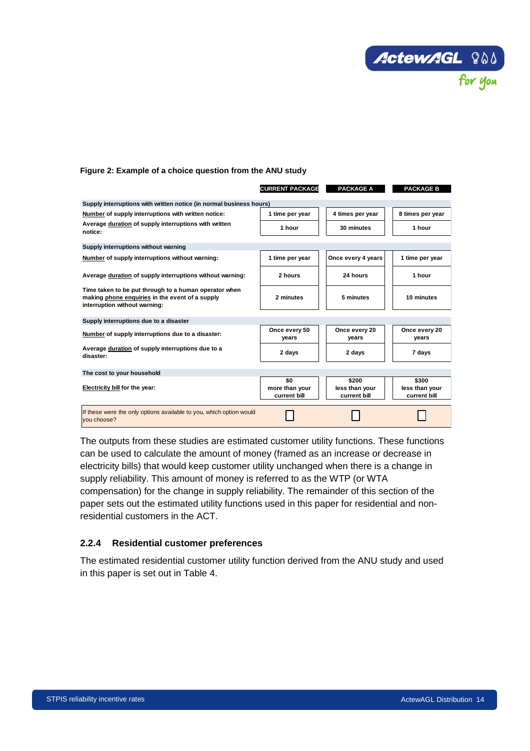

#### <span id="page-21-1"></span>**Figure 2: Example of a choice question from the ANU study**

|                                                                                                                                           | <b>CURRENT PACKAGE</b>                | <b>PACKAGE A</b>                        | <b>PACKAGE B</b>                        |
|-------------------------------------------------------------------------------------------------------------------------------------------|---------------------------------------|-----------------------------------------|-----------------------------------------|
| Supply interruptions with written notice (in normal business hours)                                                                       |                                       |                                         |                                         |
| Number of supply interruptions with written notice:                                                                                       | 1 time per year                       | 4 times per year                        | 8 times per year                        |
| Average duration of supply interruptions with written<br>notice:                                                                          | 1 hour                                | 30 minutes                              | 1 hour                                  |
| Supply interruptions without warning                                                                                                      |                                       |                                         |                                         |
| Number of supply interruptions without warning:                                                                                           | 1 time per year                       | Once every 4 years                      | 1 time per year                         |
| Average duration of supply interruptions without warning:                                                                                 | 2 hours                               | 24 hours                                | 1 hour                                  |
| Time taken to be put through to a human operator when<br>making phone enquiries in the event of a supply<br>interruption without warning: | 2 minutes                             | 5 minutes                               | 10 minutes                              |
| Supply interruptions due to a disaster                                                                                                    |                                       |                                         |                                         |
| Number of supply interruptions due to a disaster:                                                                                         | Once every 50<br>years                | Once every 20<br>years                  | Once every 20<br>years                  |
| Average duration of supply interruptions due to a<br>disaster:                                                                            | 2 days                                | 2 days                                  | 7 days                                  |
| The cost to your household                                                                                                                |                                       |                                         |                                         |
| Electricity bill for the year:                                                                                                            | \$0<br>more than your<br>current bill | \$200<br>less than your<br>current bill | \$300<br>less than your<br>current bill |
| If these were the only options available to you, which option would<br>vou choose?                                                        |                                       |                                         |                                         |

The outputs from these studies are estimated customer utility functions. These functions can be used to calculate the amount of money (framed as an increase or decrease in electricity bills) that would keep customer utility unchanged when there is a change in supply reliability. This amount of money is referred to as the WTP (or WTA compensation) for the change in supply reliability. The remainder of this section of the paper sets out the estimated utility functions used in this paper for residential and nonresidential customers in the ACT.

#### <span id="page-21-0"></span>**2.2.4 Residential customer preferences**

The estimated residential customer utility function derived from the ANU study and used in this paper is set out in [Table 4.](#page-22-0)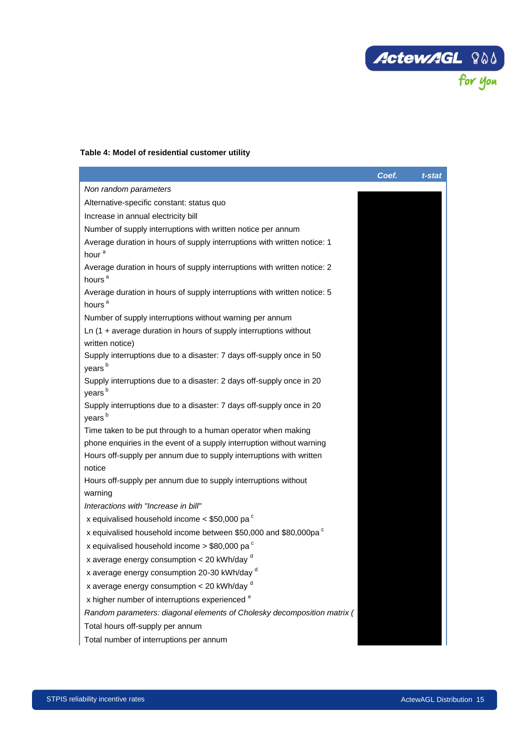

## <span id="page-22-0"></span>**Table 4: Model of residential customer utility**

|                                                                                                | Coef. | t-stat |
|------------------------------------------------------------------------------------------------|-------|--------|
| Non random parameters                                                                          |       |        |
| Alternative-specific constant: status quo                                                      |       |        |
| Increase in annual electricity bill                                                            |       |        |
| Number of supply interruptions with written notice per annum                                   |       |        |
| Average duration in hours of supply interruptions with written notice: 1                       |       |        |
| hour <sup>a</sup>                                                                              |       |        |
| Average duration in hours of supply interruptions with written notice: 2<br>hours <sup>a</sup> |       |        |
| Average duration in hours of supply interruptions with written notice: 5<br>hours <sup>a</sup> |       |        |
| Number of supply interruptions without warning per annum                                       |       |        |
| $Ln(1 + average duration in hours of supply interventions without$<br>written notice)          |       |        |
| Supply interruptions due to a disaster: 7 days off-supply once in 50<br>years <sup>b</sup>     |       |        |
| Supply interruptions due to a disaster: 2 days off-supply once in 20<br>years <sup>b</sup>     |       |        |
| Supply interruptions due to a disaster: 7 days off-supply once in 20<br>years <sup>b</sup>     |       |        |
| Time taken to be put through to a human operator when making                                   |       |        |
| phone enquiries in the event of a supply interruption without warning                          |       |        |
| Hours off-supply per annum due to supply interruptions with written<br>notice                  |       |        |
| Hours off-supply per annum due to supply interruptions without<br>warning                      |       |        |
| Interactions with "Increase in bill"                                                           |       |        |
| x equivalised household income $<$ \$50,000 pa $\textdegree$                                   |       |        |
| x equivalised household income between \$50,000 and \$80,000pa $\textdegree$                   |       |        |
| x equivalised household income $>$ \$80,000 pa $\degree$                                       |       |        |
| x average energy consumption < 20 kWh/day d                                                    |       |        |
| x average energy consumption 20-30 kWh/day d                                                   |       |        |
| x average energy consumption $<$ 20 kWh/day $d$                                                |       |        |
| x higher number of interruptions experienced <sup>e</sup>                                      |       |        |
| Random parameters: diagonal elements of Cholesky decomposition matrix (                        |       |        |
| Total hours off-supply per annum                                                               |       |        |
| Total number of interruptions per annum                                                        |       |        |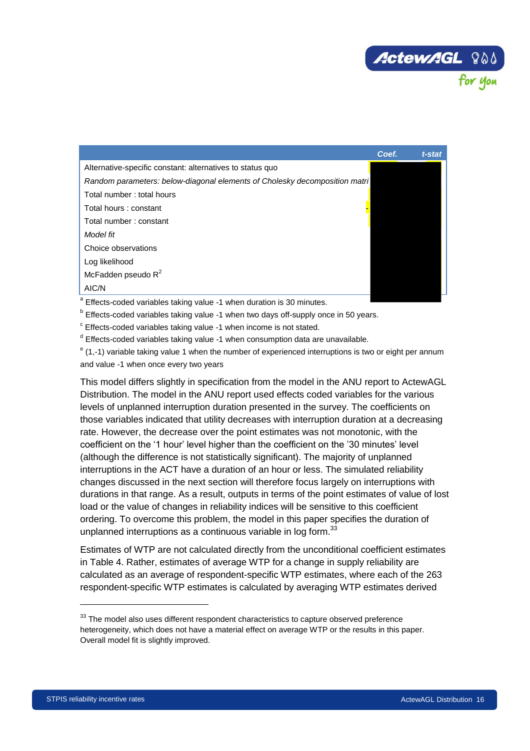

|                                                                                   | Coef. | t-stat |
|-----------------------------------------------------------------------------------|-------|--------|
| Alternative-specific constant: alternatives to status quo                         |       |        |
| Random parameters: below-diagonal elements of Cholesky decomposition matri        |       |        |
| Total number: total hours                                                         |       |        |
| Total hours : constant                                                            |       |        |
| Total number: constant                                                            |       |        |
| Model fit                                                                         |       |        |
| Choice observations                                                               |       |        |
| Log likelihood                                                                    |       |        |
| McFadden pseudo $R^2$                                                             |       |        |
| AIC/N                                                                             |       |        |
| <sup>a</sup> Effects-coded variables taking value -1 when duration is 30 minutes. |       |        |

<sup>b</sup> Effects-coded variables taking value -1 when two days off-supply once in 50 years.

<sup>c</sup> Effects-coded variables taking value -1 when income is not stated.

<sup>d</sup> Effects-coded variables taking value -1 when consumption data are unavailable.

<sup>e</sup> (1,-1) variable taking value 1 when the number of experienced interruptions is two or eight per annum and value -1 when once every two years

This model differs slightly in specification from the model in the ANU report to ActewAGL Distribution. The model in the ANU report used effects coded variables for the various levels of unplanned interruption duration presented in the survey. The coefficients on those variables indicated that utility decreases with interruption duration at a decreasing rate. However, the decrease over the point estimates was not monotonic, with the coefficient on the '1 hour' level higher than the coefficient on the '30 minutes' level (although the difference is not statistically significant). The majority of unplanned interruptions in the ACT have a duration of an hour or less. The simulated reliability changes discussed in the next section will therefore focus largely on interruptions with durations in that range. As a result, outputs in terms of the point estimates of value of lost load or the value of changes in reliability indices will be sensitive to this coefficient ordering. To overcome this problem, the model in this paper specifies the duration of unplanned interruptions as a continuous variable in log form.<sup>33</sup>

Estimates of WTP are not calculated directly from the unconditional coefficient estimates in [Table 4.](#page-22-0) Rather, estimates of average WTP for a change in supply reliability are calculated as an average of respondent-specific WTP estimates, where each of the 263 respondent-specific WTP estimates is calculated by averaging WTP estimates derived

 $33$  The model also uses different respondent characteristics to capture observed preference heterogeneity, which does not have a material effect on average WTP or the results in this paper. Overall model fit is slightly improved.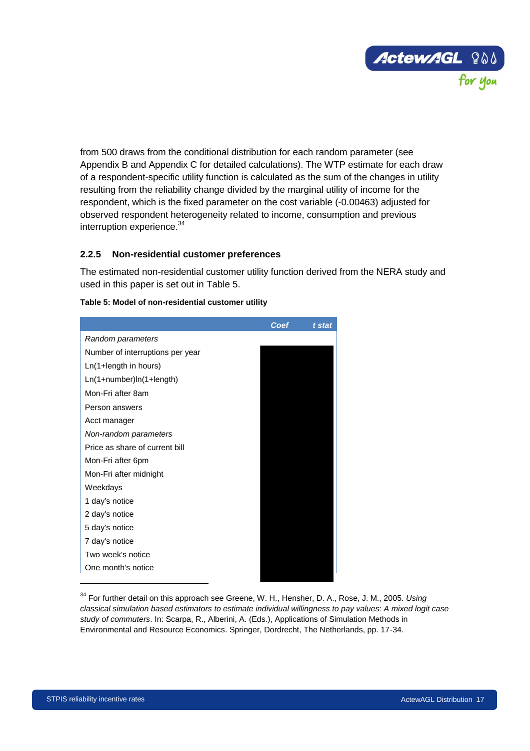

from 500 draws from the conditional distribution for each random parameter (see Appendix B and Appendix C for detailed calculations). The WTP estimate for each draw of a respondent-specific utility function is calculated as the sum of the changes in utility resulting from the reliability change divided by the marginal utility of income for the respondent, which is the fixed parameter on the cost variable (-0.00463) adjusted for observed respondent heterogeneity related to income, consumption and previous interruption experience.<sup>34</sup>

## <span id="page-24-0"></span>**2.2.5 Non-residential customer preferences**

The estimated non-residential customer utility function derived from the NERA study and used in this paper is set out in [Table 5.](#page-24-1)

|                                  | Coef | t stat |
|----------------------------------|------|--------|
| Random parameters                |      |        |
| Number of interruptions per year |      |        |
| Ln(1+length in hours)            |      |        |
| Ln(1+number)ln(1+length)         |      |        |
| Mon-Fri after 8am                |      |        |
| Person answers                   |      |        |
| Acct manager                     |      |        |
| Non-random parameters            |      |        |
| Price as share of current bill   |      |        |
| Mon-Fri after 6pm                |      |        |
| Mon-Fri after midnight           |      |        |
| Weekdays                         |      |        |
| 1 day's notice                   |      |        |
| 2 day's notice                   |      |        |
| 5 day's notice                   |      |        |
| 7 day's notice                   |      |        |
| Two week's notice                |      |        |
| One month's notice               |      |        |

#### <span id="page-24-1"></span>**Table 5: Model of non-residential customer utility**

<sup>34</sup> For further detail on this approach see Greene, W. H., Hensher, D. A., Rose, J. M., 2005. *Using classical simulation based estimators to estimate individual willingness to pay values: A mixed logit case study of commuters*. In: Scarpa, R., Alberini, A. (Eds.), Applications of Simulation Methods in Environmental and Resource Economics. Springer, Dordrecht, The Netherlands, pp. 17-34.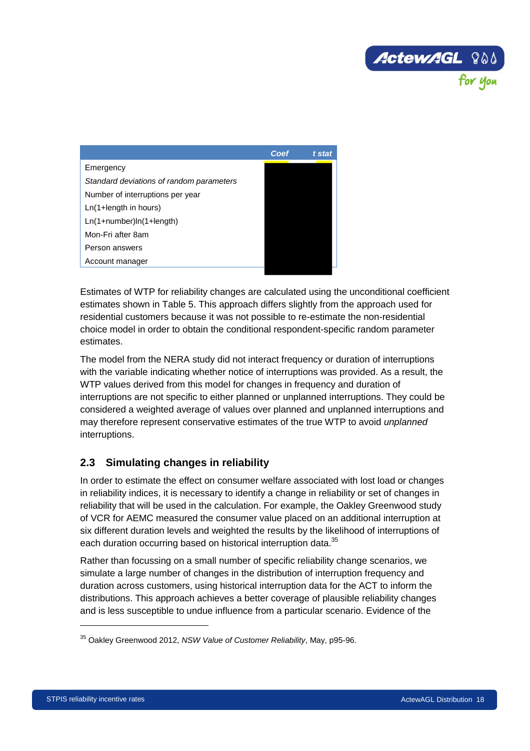

|                                          | Coef | t stat |
|------------------------------------------|------|--------|
| Emergency                                |      |        |
| Standard deviations of random parameters |      |        |
| Number of interruptions per year         |      |        |
| $Ln(1+length in hours)$                  |      |        |
| $Ln(1 + number)ln(1 + length)$           |      |        |
| Mon-Fri after 8am                        |      |        |
| Person answers                           |      |        |
| Account manager                          |      |        |

Estimates of WTP for reliability changes are calculated using the unconditional coefficient estimates shown in [Table 5.](#page-24-1) This approach differs slightly from the approach used for residential customers because it was not possible to re-estimate the non-residential choice model in order to obtain the conditional respondent-specific random parameter estimates.

The model from the NERA study did not interact frequency or duration of interruptions with the variable indicating whether notice of interruptions was provided. As a result, the WTP values derived from this model for changes in frequency and duration of interruptions are not specific to either planned or unplanned interruptions. They could be considered a weighted average of values over planned and unplanned interruptions and may therefore represent conservative estimates of the true WTP to avoid *unplanned* interruptions.

# <span id="page-25-0"></span>**2.3 Simulating changes in reliability**

In order to estimate the effect on consumer welfare associated with lost load or changes in reliability indices, it is necessary to identify a change in reliability or set of changes in reliability that will be used in the calculation. For example, the Oakley Greenwood study of VCR for AEMC measured the consumer value placed on an additional interruption at six different duration levels and weighted the results by the likelihood of interruptions of each duration occurring based on historical interruption data.<sup>35</sup>

Rather than focussing on a small number of specific reliability change scenarios, we simulate a large number of changes in the distribution of interruption frequency and duration across customers, using historical interruption data for the ACT to inform the distributions. This approach achieves a better coverage of plausible reliability changes and is less susceptible to undue influence from a particular scenario. Evidence of the

<sup>35</sup> Oakley Greenwood 2012, *NSW Value of Customer Reliability*, May, p95-96.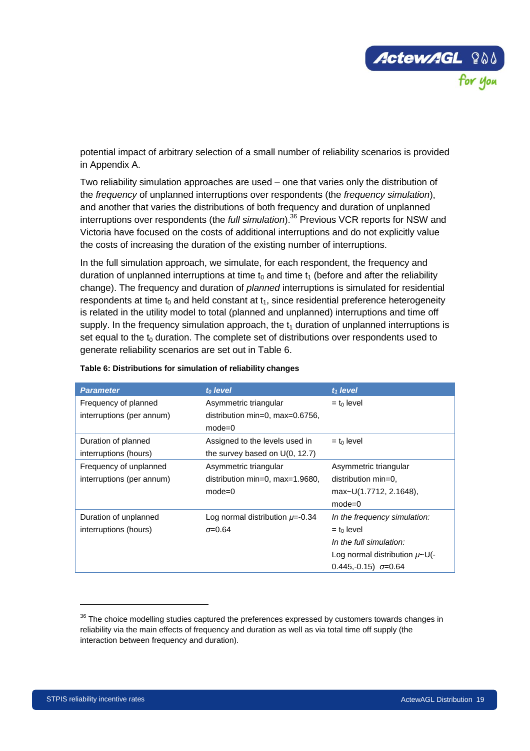

potential impact of arbitrary selection of a small number of reliability scenarios is provided in Appendix A.

Two reliability simulation approaches are used – one that varies only the distribution of the *frequency* of unplanned interruptions over respondents (the *frequency simulation*), and another that varies the distributions of both frequency and duration of unplanned interruptions over respondents (the *full simulation*).<sup>36</sup> Previous VCR reports for NSW and Victoria have focused on the costs of additional interruptions and do not explicitly value the costs of increasing the duration of the existing number of interruptions.

In the full simulation approach, we simulate, for each respondent, the frequency and duration of unplanned interruptions at time  $t_0$  and time  $t_1$  (before and after the reliability change). The frequency and duration of *planned* interruptions is simulated for residential respondents at time  $t_0$  and held constant at  $t_1$ , since residential preference heterogeneity is related in the utility model to total (planned and unplanned) interruptions and time off supply. In the frequency simulation approach, the  $t_1$  duration of unplanned interruptions is set equal to the  $t_0$  duration. The complete set of distributions over respondents used to generate reliability scenarios are set out in [Table 6.](#page-26-0)

| <b>Parameter</b>          | t <sub>o</sub> level                 | $t_1$ level                        |
|---------------------------|--------------------------------------|------------------------------------|
| Frequency of planned      | Asymmetric triangular                | $=$ t <sub>0</sub> level           |
| interruptions (per annum) | distribution min=0, max= $0.6756$ ,  |                                    |
|                           | $mode=0$                             |                                    |
| Duration of planned       | Assigned to the levels used in       | $=$ to level                       |
| interruptions (hours)     | the survey based on $U(0, 12.7)$     |                                    |
| Frequency of unplanned    | Asymmetric triangular                | Asymmetric triangular              |
| interruptions (per annum) | distribution min=0, max=1.9680,      | distribution min=0,                |
|                           | $mode=0$                             | max~U(1.7712, 2.1648),             |
|                           |                                      | $mode=0$                           |
| Duration of unplanned     | Log normal distribution $\mu$ =-0.34 | In the frequency simulation:       |
| interruptions (hours)     | $\sigma = 0.64$                      | $=$ to level                       |
|                           |                                      | In the full simulation:            |
|                           |                                      | Log normal distribution $\mu$ ~U(- |
|                           |                                      | $0.445,-0.15$ $\sigma = 0.64$      |

#### <span id="page-26-0"></span>**Table 6: Distributions for simulation of reliability changes**

<sup>&</sup>lt;sup>36</sup> The choice modelling studies captured the preferences expressed by customers towards changes in reliability via the main effects of frequency and duration as well as via total time off supply (the interaction between frequency and duration).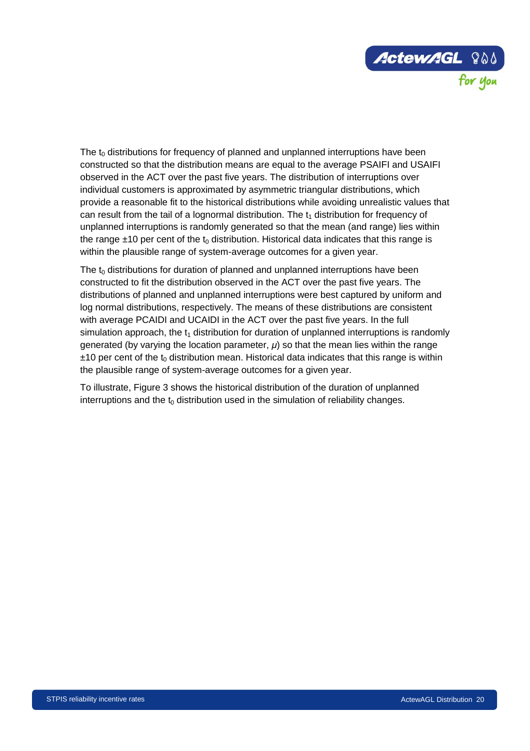

The  $t_0$  distributions for frequency of planned and unplanned interruptions have been constructed so that the distribution means are equal to the average PSAIFI and USAIFI observed in the ACT over the past five years. The distribution of interruptions over individual customers is approximated by asymmetric triangular distributions, which provide a reasonable fit to the historical distributions while avoiding unrealistic values that can result from the tail of a lognormal distribution. The  $t_1$  distribution for frequency of unplanned interruptions is randomly generated so that the mean (and range) lies within the range  $\pm$ 10 per cent of the t<sub>0</sub> distribution. Historical data indicates that this range is within the plausible range of system-average outcomes for a given year.

The  $t_0$  distributions for duration of planned and unplanned interruptions have been constructed to fit the distribution observed in the ACT over the past five years. The distributions of planned and unplanned interruptions were best captured by uniform and log normal distributions, respectively. The means of these distributions are consistent with average PCAIDI and UCAIDI in the ACT over the past five years. In the full simulation approach, the  $t_1$  distribution for duration of unplanned interruptions is randomly generated (by varying the location parameter, *μ*) so that the mean lies within the range  $±10$  per cent of the t<sub>0</sub> distribution mean. Historical data indicates that this range is within the plausible range of system-average outcomes for a given year.

To illustrate, [Figure 3](#page-28-0) shows the historical distribution of the duration of unplanned interruptions and the  $t_0$  distribution used in the simulation of reliability changes.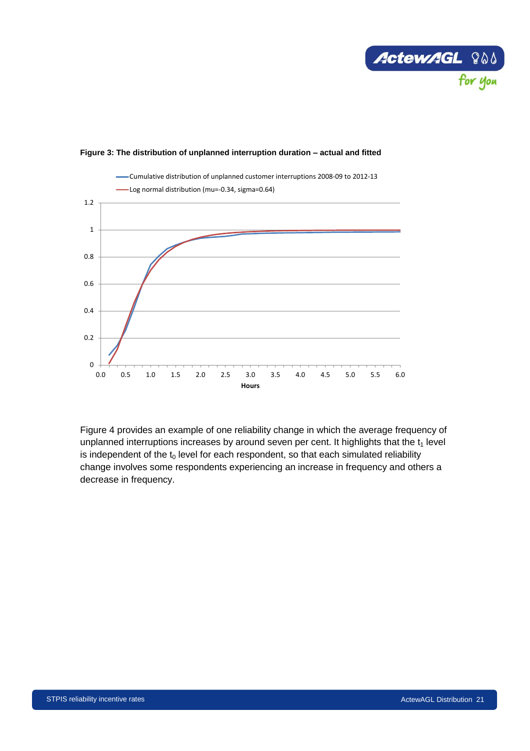



#### <span id="page-28-0"></span>**Figure 3: The distribution of unplanned interruption duration – actual and fitted**

[Figure 4](#page-29-2) provides an example of one reliability change in which the average frequency of unplanned interruptions increases by around seven per cent. It highlights that the  $t<sub>1</sub>$  level is independent of the  $t_0$  level for each respondent, so that each simulated reliability change involves some respondents experiencing an increase in frequency and others a decrease in frequency.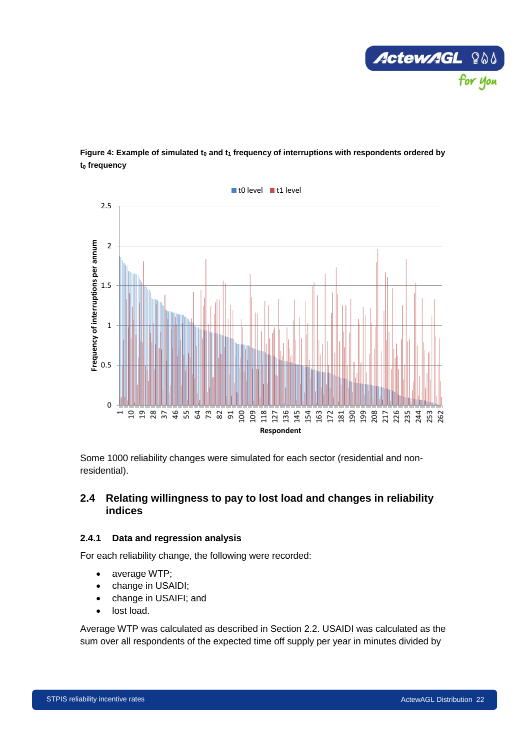

<span id="page-29-2"></span>



Some 1000 reliability changes were simulated for each sector (residential and nonresidential).

## <span id="page-29-0"></span>**2.4 Relating willingness to pay to lost load and changes in reliability indices**

#### <span id="page-29-1"></span>**2.4.1 Data and regression analysis**

For each reliability change, the following were recorded:

- average WTP;
- change in USAIDI;
- change in USAIFI; and
- lost load.

Average WTP was calculated as described in Section [2.2.](#page-15-0) USAIDI was calculated as the sum over all respondents of the expected time off supply per year in minutes divided by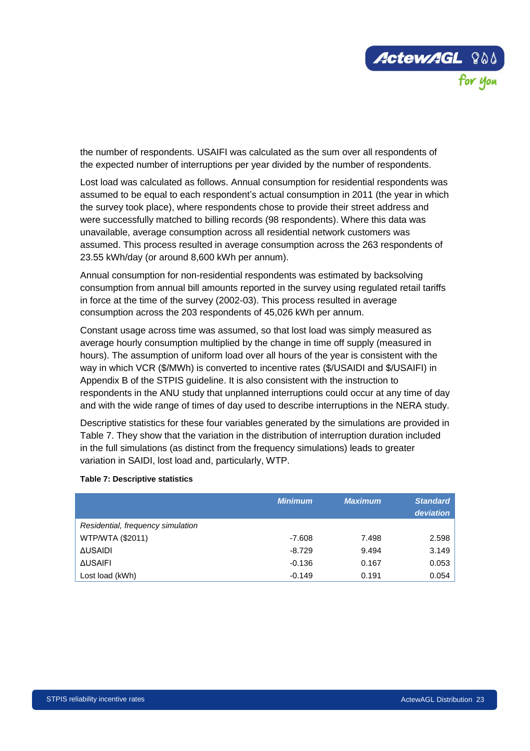

the number of respondents. USAIFI was calculated as the sum over all respondents of the expected number of interruptions per year divided by the number of respondents.

Lost load was calculated as follows. Annual consumption for residential respondents was assumed to be equal to each respondent's actual consumption in 2011 (the year in which the survey took place), where respondents chose to provide their street address and were successfully matched to billing records (98 respondents). Where this data was unavailable, average consumption across all residential network customers was assumed. This process resulted in average consumption across the 263 respondents of 23.55 kWh/day (or around 8,600 kWh per annum).

Annual consumption for non-residential respondents was estimated by backsolving consumption from annual bill amounts reported in the survey using regulated retail tariffs in force at the time of the survey (2002-03). This process resulted in average consumption across the 203 respondents of 45,026 kWh per annum.

Constant usage across time was assumed, so that lost load was simply measured as average hourly consumption multiplied by the change in time off supply (measured in hours). The assumption of uniform load over all hours of the year is consistent with the way in which VCR (\$/MWh) is converted to incentive rates (\$/USAIDI and \$/USAIFI) in Appendix B of the STPIS guideline. It is also consistent with the instruction to respondents in the ANU study that unplanned interruptions could occur at any time of day and with the wide range of times of day used to describe interruptions in the NERA study.

Descriptive statistics for these four variables generated by the simulations are provided in [Table 7.](#page-30-0) They show that the variation in the distribution of interruption duration included in the full simulations (as distinct from the frequency simulations) leads to greater variation in SAIDI, lost load and, particularly, WTP.

|                                   | <b>Minimum</b> | <b>Maximum</b> | <b>Standard</b><br>deviation |
|-----------------------------------|----------------|----------------|------------------------------|
| Residential, frequency simulation |                |                |                              |
| WTP/WTA (\$2011)                  | $-7.608$       | 7.498          | 2.598                        |
| <b>AUSAIDI</b>                    | $-8.729$       | 9.494          | 3.149                        |
| <b>AUSAIFI</b>                    | $-0.136$       | 0.167          | 0.053                        |
| Lost load (kWh)                   | $-0.149$       | 0.191          | 0.054                        |

#### <span id="page-30-0"></span>**Table 7: Descriptive statistics**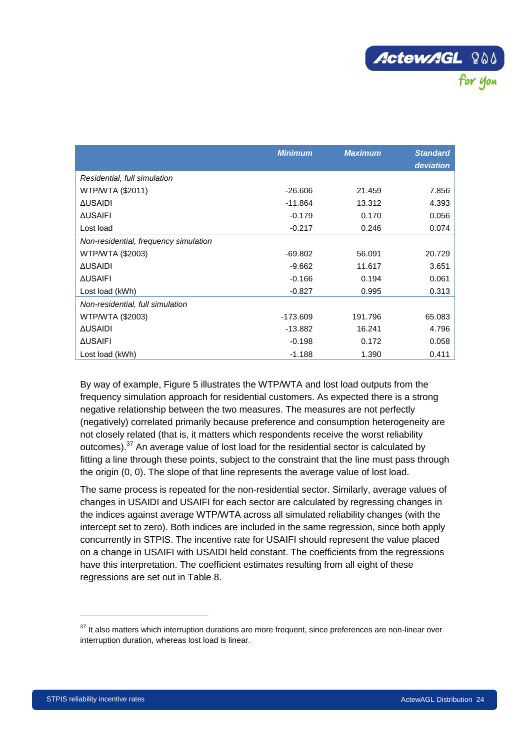

|                                       | <b>Minimum</b> | <b>Maximum</b> | <b>Standard</b> |
|---------------------------------------|----------------|----------------|-----------------|
|                                       |                |                | deviation       |
| Residential, full simulation          |                |                |                 |
| WTP/WTA (\$2011)                      | $-26.606$      | 21.459         | 7.856           |
| <b>AUSAIDI</b>                        | $-11.864$      | 13.312         | 4.393           |
| <b>AUSAIFI</b>                        | $-0.179$       | 0.170          | 0.056           |
| Lost load                             | $-0.217$       | 0.246          | 0.074           |
| Non-residential, frequency simulation |                |                |                 |
| WTP/WTA (\$2003)                      | $-69.802$      | 56.091         | 20.729          |
| <b>AUSAIDI</b>                        | $-9.662$       | 11.617         | 3.651           |
| <b>AUSAIFI</b>                        | $-0.166$       | 0.194          | 0.061           |
| Lost load (kWh)                       | $-0.827$       | 0.995          | 0.313           |
| Non-residential, full simulation      |                |                |                 |
| WTP/WTA (\$2003)                      | $-173.609$     | 191.796        | 65.083          |
| <b>AUSAIDI</b>                        | $-13.882$      | 16.241         | 4.796           |
| <b>AUSAIFI</b>                        | $-0.198$       | 0.172          | 0.058           |
| Lost load (kWh)                       | $-1.188$       | 1.390          | 0.411           |

By way of example, [Figure 5](#page-32-0) illustrates the WTP/WTA and lost load outputs from the frequency simulation approach for residential customers. As expected there is a strong negative relationship between the two measures. The measures are not perfectly (negatively) correlated primarily because preference and consumption heterogeneity are not closely related (that is, it matters which respondents receive the worst reliability outcomes).<sup>37</sup> An average value of lost load for the residential sector is calculated by fitting a line through these points, subject to the constraint that the line must pass through the origin (0, 0). The slope of that line represents the average value of lost load.

The same process is repeated for the non-residential sector. Similarly, average values of changes in USAIDI and USAIFI for each sector are calculated by regressing changes in the indices against average WTP/WTA across all simulated reliability changes (with the intercept set to zero). Both indices are included in the same regression, since both apply concurrently in STPIS. The incentive rate for USAIFI should represent the value placed on a change in USAIFI with USAIDI held constant. The coefficients from the regressions have this interpretation. The coefficient estimates resulting from all eight of these regressions are set out in [Table 8.](#page-32-1)

<sup>&</sup>lt;sup>37</sup> It also matters which interruption durations are more frequent, since preferences are non-linear over interruption duration, whereas lost load is linear.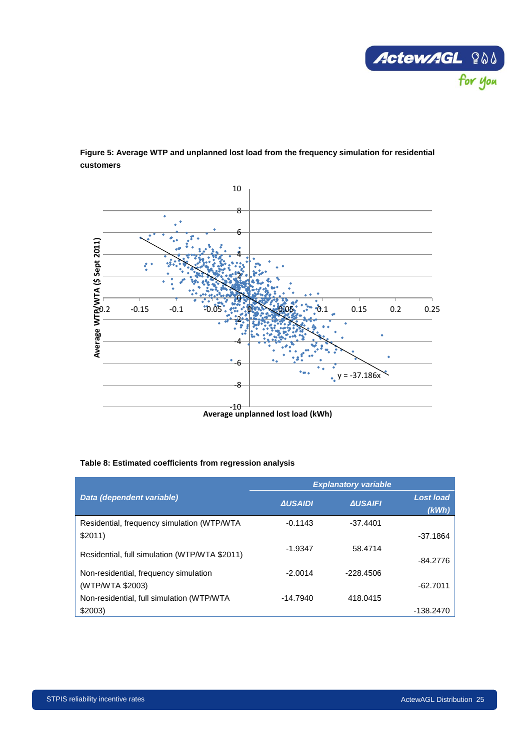



<span id="page-32-0"></span>**Figure 5: Average WTP and unplanned lost load from the frequency simulation for residential customers**

#### <span id="page-32-1"></span>**Table 8: Estimated coefficients from regression analysis**

|                                               |                | <b>Explanatory variable</b> |                           |
|-----------------------------------------------|----------------|-----------------------------|---------------------------|
| Data (dependent variable)                     | <b>AUSAIDI</b> | <b>AUSAIFI</b>              | <b>Lost load</b><br>(kWh) |
| Residential, frequency simulation (WTP/WTA    | $-0.1143$      | $-37.4401$                  |                           |
| \$2011)                                       |                |                             | $-37.1864$                |
| Residential, full simulation (WTP/WTA \$2011) | $-1.9347$      | 58.4714                     | $-84.2776$                |
| Non-residential, frequency simulation         | $-2.0014$      | $-228.4506$                 |                           |
| (WTP/WTA \$2003)                              |                |                             | $-62.7011$                |
| Non-residential, full simulation (WTP/WTA     | $-14.7940$     | 418.0415                    |                           |
| \$2003)                                       |                |                             | -138.2470                 |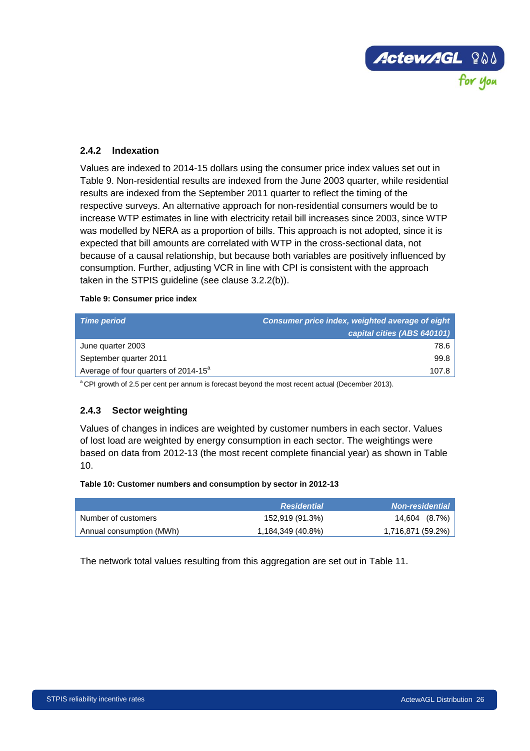

## <span id="page-33-0"></span>**2.4.2 Indexation**

Values are indexed to 2014-15 dollars using the consumer price index values set out in [Table 9.](#page-33-2) Non-residential results are indexed from the June 2003 quarter, while residential results are indexed from the September 2011 quarter to reflect the timing of the respective surveys. An alternative approach for non-residential consumers would be to increase WTP estimates in line with electricity retail bill increases since 2003, since WTP was modelled by NERA as a proportion of bills. This approach is not adopted, since it is expected that bill amounts are correlated with WTP in the cross-sectional data, not because of a causal relationship, but because both variables are positively influenced by consumption. Further, adjusting VCR in line with CPI is consistent with the approach taken in the STPIS guideline (see clause 3.2.2(b)).

#### <span id="page-33-2"></span>**Table 9: Consumer price index**

| <b>Time period</b>                               | Consumer price index, weighted average of eight<br>capital cities (ABS 640101) |
|--------------------------------------------------|--------------------------------------------------------------------------------|
| June quarter 2003                                | 78.6                                                                           |
| September quarter 2011                           | 99.8                                                                           |
| Average of four quarters of 2014-15 <sup>a</sup> | 107.8                                                                          |
|                                                  |                                                                                |

<sup>a</sup> CPI growth of 2.5 per cent per annum is forecast beyond the most recent actual (December 2013).

#### <span id="page-33-1"></span>**2.4.3 Sector weighting**

Values of changes in indices are weighted by customer numbers in each sector. Values of lost load are weighted by energy consumption in each sector. The weightings were based on data from 2012-13 (the most recent complete financial year) as shown in [Table](#page-33-3)  [10.](#page-33-3)

#### <span id="page-33-3"></span>**Table 10: Customer numbers and consumption by sector in 2012-13**

|                          | <b>Residential</b> | <b>Non-residential</b> |
|--------------------------|--------------------|------------------------|
| Number of customers      | 152,919 (91.3%)    | $14,604$ $(8.7\%)$     |
| Annual consumption (MWh) | 1,184,349 (40.8%)  | 1,716,871 (59.2%)      |

The network total values resulting from this aggregation are set out in [Table 11.](#page-34-0)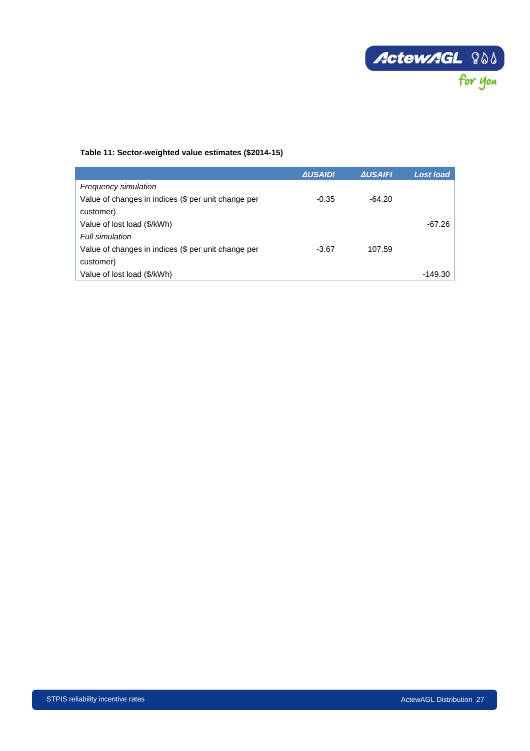

#### <span id="page-34-0"></span>**Table 11: Sector-weighted value estimates (\$2014-15)**

|                                                     | <b>AUSAIDI</b> | <b>AUSAIFI</b> | Lost load |
|-----------------------------------------------------|----------------|----------------|-----------|
| <b>Frequency simulation</b>                         |                |                |           |
| Value of changes in indices (\$ per unit change per | $-0.35$        | $-64.20$       |           |
| customer)                                           |                |                |           |
| Value of lost load (\$/kWh)                         |                |                | -67.26    |
| Full simulation                                     |                |                |           |
| Value of changes in indices (\$ per unit change per | $-3.67$        | 107.59         |           |
| customer)                                           |                |                |           |
| Value of lost load (\$/kWh)                         |                |                | -149.30   |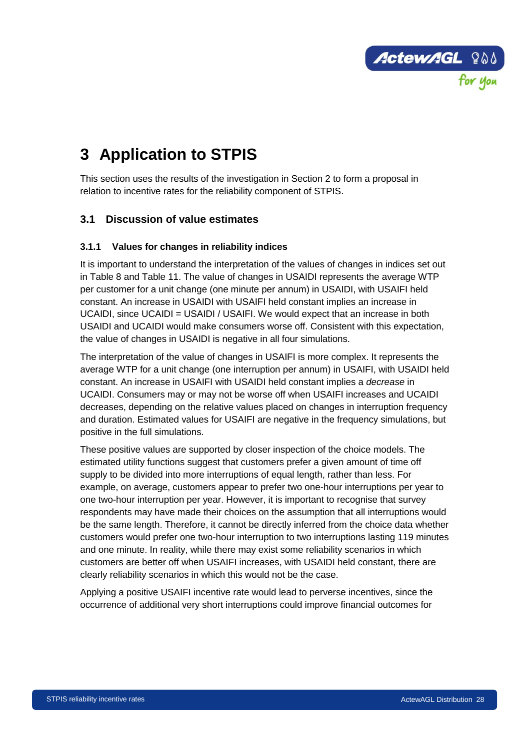

# <span id="page-35-0"></span>**3 Application to STPIS**

This section uses the results of the investigation in Section 2 to form a proposal in relation to incentive rates for the reliability component of STPIS.

# <span id="page-35-1"></span>**3.1 Discussion of value estimates**

## <span id="page-35-2"></span>**3.1.1 Values for changes in reliability indices**

It is important to understand the interpretation of the values of changes in indices set out in [Table 8](#page-32-1) and [Table 11.](#page-34-0) The value of changes in USAIDI represents the average WTP per customer for a unit change (one minute per annum) in USAIDI, with USAIFI held constant. An increase in USAIDI with USAIFI held constant implies an increase in UCAIDI, since UCAIDI = USAIDI / USAIFI. We would expect that an increase in both USAIDI and UCAIDI would make consumers worse off. Consistent with this expectation, the value of changes in USAIDI is negative in all four simulations.

The interpretation of the value of changes in USAIFI is more complex. It represents the average WTP for a unit change (one interruption per annum) in USAIFI, with USAIDI held constant. An increase in USAIFI with USAIDI held constant implies a *decrease* in UCAIDI. Consumers may or may not be worse off when USAIFI increases and UCAIDI decreases, depending on the relative values placed on changes in interruption frequency and duration. Estimated values for USAIFI are negative in the frequency simulations, but positive in the full simulations.

These positive values are supported by closer inspection of the choice models. The estimated utility functions suggest that customers prefer a given amount of time off supply to be divided into more interruptions of equal length, rather than less. For example, on average, customers appear to prefer two one-hour interruptions per year to one two-hour interruption per year. However, it is important to recognise that survey respondents may have made their choices on the assumption that all interruptions would be the same length. Therefore, it cannot be directly inferred from the choice data whether customers would prefer one two-hour interruption to two interruptions lasting 119 minutes and one minute. In reality, while there may exist some reliability scenarios in which customers are better off when USAIFI increases, with USAIDI held constant, there are clearly reliability scenarios in which this would not be the case.

Applying a positive USAIFI incentive rate would lead to perverse incentives, since the occurrence of additional very short interruptions could improve financial outcomes for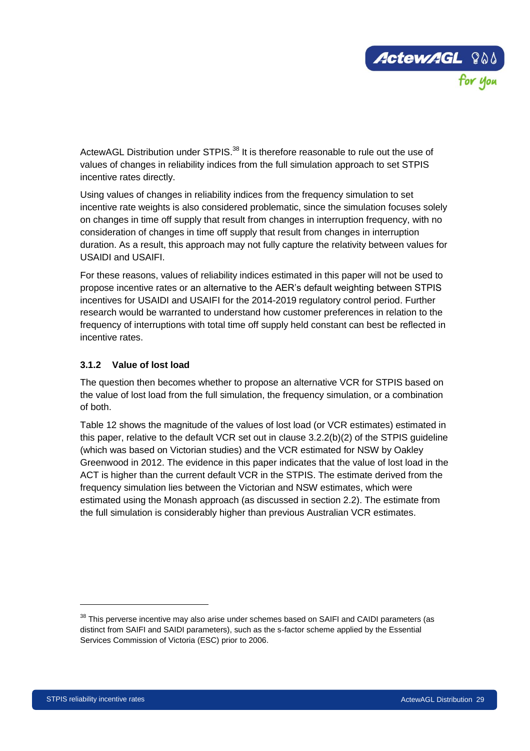

ActewAGL Distribution under STPIS.<sup>38</sup> It is therefore reasonable to rule out the use of values of changes in reliability indices from the full simulation approach to set STPIS incentive rates directly.

Using values of changes in reliability indices from the frequency simulation to set incentive rate weights is also considered problematic, since the simulation focuses solely on changes in time off supply that result from changes in interruption frequency, with no consideration of changes in time off supply that result from changes in interruption duration. As a result, this approach may not fully capture the relativity between values for USAIDI and USAIFI.

For these reasons, values of reliability indices estimated in this paper will not be used to propose incentive rates or an alternative to the AER's default weighting between STPIS incentives for USAIDI and USAIFI for the 2014-2019 regulatory control period. Further research would be warranted to understand how customer preferences in relation to the frequency of interruptions with total time off supply held constant can best be reflected in incentive rates.

## <span id="page-36-0"></span>**3.1.2 Value of lost load**

The question then becomes whether to propose an alternative VCR for STPIS based on the value of lost load from the full simulation, the frequency simulation, or a combination of both.

[Table 12](#page-37-0) shows the magnitude of the values of lost load (or VCR estimates) estimated in this paper, relative to the default VCR set out in clause 3.2.2(b)(2) of the STPIS guideline (which was based on Victorian studies) and the VCR estimated for NSW by Oakley Greenwood in 2012. The evidence in this paper indicates that the value of lost load in the ACT is higher than the current default VCR in the STPIS. The estimate derived from the frequency simulation lies between the Victorian and NSW estimates, which were estimated using the Monash approach (as discussed in section [2.2\)](#page-15-0). The estimate from the full simulation is considerably higher than previous Australian VCR estimates.

<sup>&</sup>lt;sup>38</sup> This perverse incentive may also arise under schemes based on SAIFI and CAIDI parameters (as distinct from SAIFI and SAIDI parameters), such as the s-factor scheme applied by the Essential Services Commission of Victoria (ESC) prior to 2006.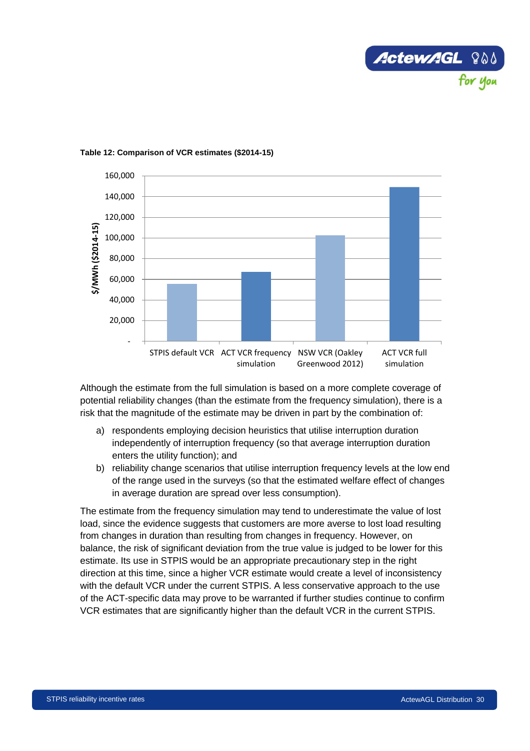



#### <span id="page-37-0"></span>**Table 12: Comparison of VCR estimates (\$2014-15)**

Although the estimate from the full simulation is based on a more complete coverage of potential reliability changes (than the estimate from the frequency simulation), there is a risk that the magnitude of the estimate may be driven in part by the combination of:

- a) respondents employing decision heuristics that utilise interruption duration independently of interruption frequency (so that average interruption duration enters the utility function); and
- b) reliability change scenarios that utilise interruption frequency levels at the low end of the range used in the surveys (so that the estimated welfare effect of changes in average duration are spread over less consumption).

The estimate from the frequency simulation may tend to underestimate the value of lost load, since the evidence suggests that customers are more averse to lost load resulting from changes in duration than resulting from changes in frequency. However, on balance, the risk of significant deviation from the true value is judged to be lower for this estimate. Its use in STPIS would be an appropriate precautionary step in the right direction at this time, since a higher VCR estimate would create a level of inconsistency with the default VCR under the current STPIS. A less conservative approach to the use of the ACT-specific data may prove to be warranted if further studies continue to confirm VCR estimates that are significantly higher than the default VCR in the current STPIS.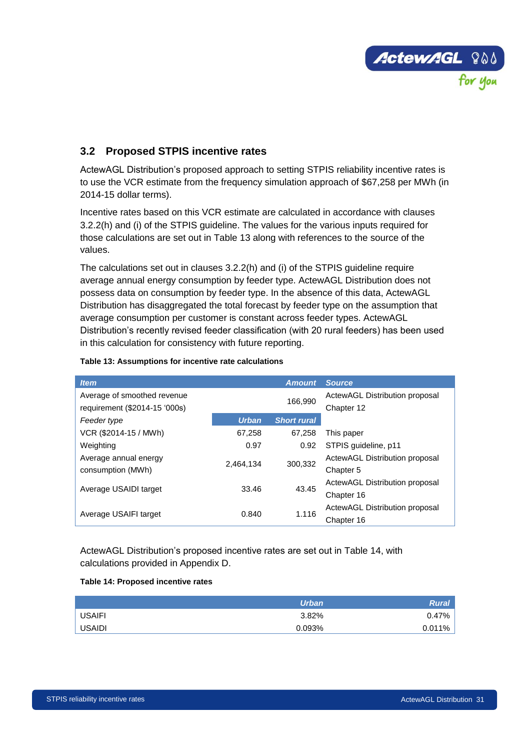

# <span id="page-38-0"></span>**3.2 Proposed STPIS incentive rates**

ActewAGL Distribution's proposed approach to setting STPIS reliability incentive rates is to use the VCR estimate from the frequency simulation approach of \$67,258 per MWh (in 2014-15 dollar terms).

Incentive rates based on this VCR estimate are calculated in accordance with clauses 3.2.2(h) and (i) of the STPIS guideline. The values for the various inputs required for those calculations are set out in [Table 13](#page-38-1) along with references to the source of the values.

The calculations set out in clauses 3.2.2(h) and (i) of the STPIS guideline require average annual energy consumption by feeder type. ActewAGL Distribution does not possess data on consumption by feeder type. In the absence of this data, ActewAGL Distribution has disaggregated the total forecast by feeder type on the assumption that average consumption per customer is constant across feeder types. ActewAGL Distribution's recently revised feeder classification (with 20 rural feeders) has been used in this calculation for consistency with future reporting.

| <b>Item</b>                   |              | <b>Amount</b>      | <b>Source</b>                  |
|-------------------------------|--------------|--------------------|--------------------------------|
| Average of smoothed revenue   |              | 166.990            | ActewAGL Distribution proposal |
| requirement (\$2014-15 '000s) |              |                    | Chapter 12                     |
| Feeder type                   | <b>Urban</b> | <b>Short rural</b> |                                |
| VCR (\$2014-15 / MWh)         | 67,258       | 67,258             | This paper                     |
| Weighting                     | 0.97         | 0.92               | STPIS quideline, p11           |
| Average annual energy         | 2.464.134    | 300.332            | ActewAGL Distribution proposal |
| consumption (MWh)             |              |                    | Chapter 5                      |
|                               | 33.46        | 43.45              | ActewAGL Distribution proposal |
| Average USAIDI target         |              |                    | Chapter 16                     |
|                               | 0.840        | 1.116              | ActewAGL Distribution proposal |
| Average USAIFI target         |              |                    | Chapter 16                     |

#### <span id="page-38-1"></span>**Table 13: Assumptions for incentive rate calculations**

ActewAGL Distribution's proposed incentive rates are set out in [Table 14,](#page-38-2) with calculations provided in Appendix D.

#### <span id="page-38-2"></span>**Table 14: Proposed incentive rates**

|               | <b>Urban</b> | <b>Rural</b> |
|---------------|--------------|--------------|
| <b>USAIFI</b> | 3.82%        | 0.47%        |
| <b>USAIDI</b> | 0.093%       | 0.011%       |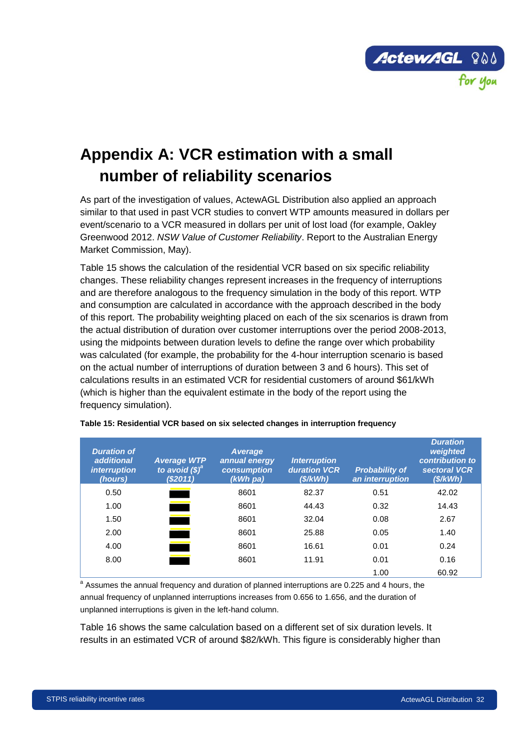

# <span id="page-39-0"></span>**Appendix A: VCR estimation with a small number of reliability scenarios**

As part of the investigation of values, ActewAGL Distribution also applied an approach similar to that used in past VCR studies to convert WTP amounts measured in dollars per event/scenario to a VCR measured in dollars per unit of lost load (for example, Oakley Greenwood 2012. *NSW Value of Customer Reliability*. Report to the Australian Energy Market Commission, May).

[Table 15](#page-39-1) shows the calculation of the residential VCR based on six specific reliability changes. These reliability changes represent increases in the frequency of interruptions and are therefore analogous to the frequency simulation in the body of this report. WTP and consumption are calculated in accordance with the approach described in the body of this report. The probability weighting placed on each of the six scenarios is drawn from the actual distribution of duration over customer interruptions over the period 2008-2013, using the midpoints between duration levels to define the range over which probability was calculated (for example, the probability for the 4-hour interruption scenario is based on the actual number of interruptions of duration between 3 and 6 hours). This set of calculations results in an estimated VCR for residential customers of around \$61/kWh (which is higher than the equivalent estimate in the body of the report using the frequency simulation).

| <b>Duration of</b><br>additional<br><i>interruption</i><br>(hours) | <b>Average WTP</b><br>to avoid $(\boldsymbol{\$})^{\boldsymbol{\alpha}}$<br>(\$2011) | <b>Average</b><br>annual energy<br>consumption<br>$(kWh$ pa) | <b>Interruption</b><br>duration VCR<br>(S/kWh) | <b>Probability of</b><br>an interruption | <b>Duration</b><br>weighted<br>contribution to<br>sectoral VCR<br>(\$/kWh) |
|--------------------------------------------------------------------|--------------------------------------------------------------------------------------|--------------------------------------------------------------|------------------------------------------------|------------------------------------------|----------------------------------------------------------------------------|
| 0.50                                                               |                                                                                      | 8601                                                         | 82.37                                          | 0.51                                     | 42.02                                                                      |
| 1.00                                                               |                                                                                      | 8601                                                         | 44.43                                          | 0.32                                     | 14.43                                                                      |
| 1.50                                                               |                                                                                      | 8601                                                         | 32.04                                          | 0.08                                     | 2.67                                                                       |
| 2.00                                                               |                                                                                      | 8601                                                         | 25.88                                          | 0.05                                     | 1.40                                                                       |
| 4.00                                                               | <b>Service State</b>                                                                 | 8601                                                         | 16.61                                          | 0.01                                     | 0.24                                                                       |
| 8.00                                                               |                                                                                      | 8601                                                         | 11.91                                          | 0.01                                     | 0.16                                                                       |
|                                                                    |                                                                                      |                                                              |                                                | 1.00                                     | 60.92                                                                      |

<span id="page-39-1"></span>**Table 15: Residential VCR based on six selected changes in interruption frequency** 

<sup>a</sup> Assumes the annual frequency and duration of planned interruptions are 0.225 and 4 hours, the annual frequency of unplanned interruptions increases from 0.656 to 1.656, and the duration of unplanned interruptions is given in the left-hand column.

[Table 16](#page-40-0) shows the same calculation based on a different set of six duration levels. It results in an estimated VCR of around \$82/kWh. This figure is considerably higher than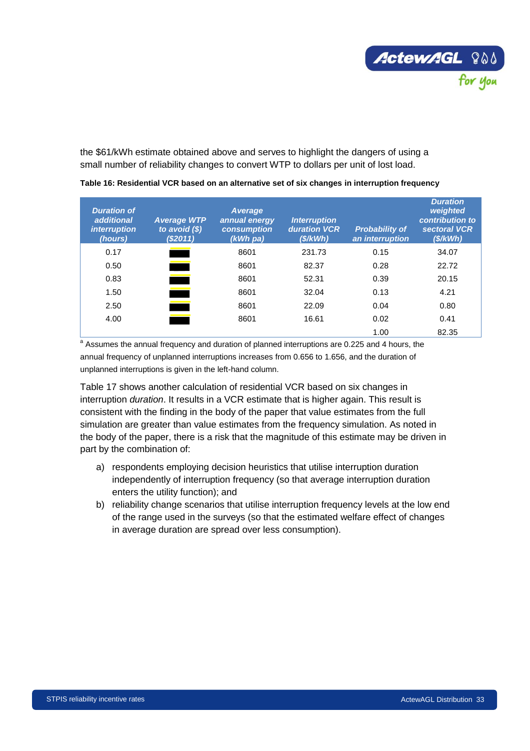

the \$61/kWh estimate obtained above and serves to highlight the dangers of using a small number of reliability changes to convert WTP to dollars per unit of lost load.

| <b>Duration of</b><br>additional<br><i>interruption</i><br>(hours) | <b>Average WTP</b><br>to avoid $(\$)$<br>(\$2011) | <b>Average</b><br>annual energy<br>consumption<br>$(kWh$ pa) | <b>Interruption</b><br>duration VCR<br>(S/KWh) | <b>Probability of</b><br>an interruption | <b>Duration</b><br>weighted<br>contribution to<br>sectoral VCR<br>(S/KWh) |
|--------------------------------------------------------------------|---------------------------------------------------|--------------------------------------------------------------|------------------------------------------------|------------------------------------------|---------------------------------------------------------------------------|
| 0.17                                                               |                                                   | 8601                                                         | 231.73                                         | 0.15                                     | 34.07                                                                     |
| 0.50                                                               |                                                   | 8601                                                         | 82.37                                          | 0.28                                     | 22.72                                                                     |
| 0.83                                                               |                                                   | 8601                                                         | 52.31                                          | 0.39                                     | 20.15                                                                     |
| 1.50                                                               |                                                   | 8601                                                         | 32.04                                          | 0.13                                     | 4.21                                                                      |
| 2.50                                                               | <u> 1999 - Johann Barnett, p</u>                  | 8601                                                         | 22.09                                          | 0.04                                     | 0.80                                                                      |
| 4.00                                                               | <u> 1999 - Johann Barnett, f</u>                  | 8601                                                         | 16.61                                          | 0.02                                     | 0.41                                                                      |
|                                                                    |                                                   |                                                              |                                                | 1.00                                     | 82.35                                                                     |

<span id="page-40-0"></span>**Table 16: Residential VCR based on an alternative set of six changes in interruption frequency** 

<sup>a</sup> Assumes the annual frequency and duration of planned interruptions are 0.225 and 4 hours, the annual frequency of unplanned interruptions increases from 0.656 to 1.656, and the duration of unplanned interruptions is given in the left-hand column.

[Table 17](#page-41-0) shows another calculation of residential VCR based on six changes in interruption *duration*. It results in a VCR estimate that is higher again. This result is consistent with the finding in the body of the paper that value estimates from the full simulation are greater than value estimates from the frequency simulation. As noted in the body of the paper, there is a risk that the magnitude of this estimate may be driven in part by the combination of:

- a) respondents employing decision heuristics that utilise interruption duration independently of interruption frequency (so that average interruption duration enters the utility function); and
- b) reliability change scenarios that utilise interruption frequency levels at the low end of the range used in the surveys (so that the estimated welfare effect of changes in average duration are spread over less consumption).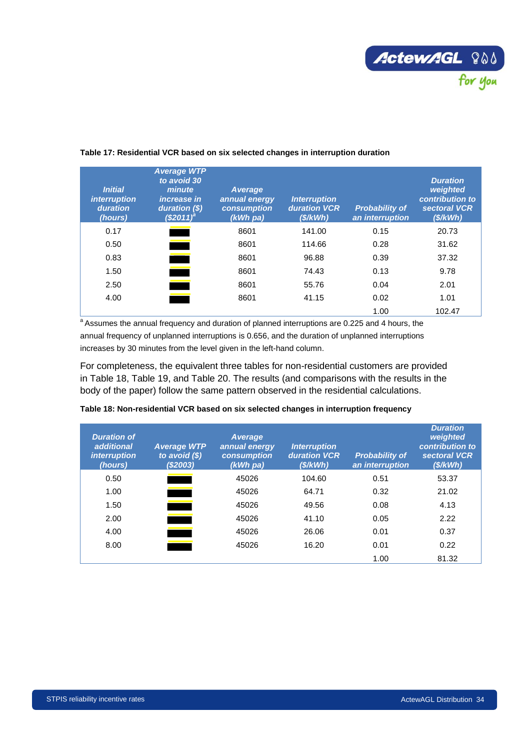

| <b>Initial</b><br>interruption<br>duration<br>(hours) | <b>Average WTP</b><br>to avoid 30<br>minute<br><i>increase in</i><br>duration $(\$)$<br>(S2011) | <b>Average</b><br>annual energy<br>consumption<br>$(kWh$ pa) | <b>Interruption</b><br>duration VCR<br>(S/KWh) | <b>Probability of</b><br>an interruption | <b>Duration</b><br>weighted<br>contribution to<br>sectoral VCR<br>(S/KWh) |
|-------------------------------------------------------|-------------------------------------------------------------------------------------------------|--------------------------------------------------------------|------------------------------------------------|------------------------------------------|---------------------------------------------------------------------------|
| 0.17                                                  |                                                                                                 | 8601                                                         | 141.00                                         | 0.15                                     | 20.73                                                                     |
| 0.50                                                  |                                                                                                 | 8601                                                         | 114.66                                         | 0.28                                     | 31.62                                                                     |
| 0.83                                                  | $\overline{\phantom{a}}$                                                                        | 8601                                                         | 96.88                                          | 0.39                                     | 37.32                                                                     |
| 1.50                                                  |                                                                                                 | 8601                                                         | 74.43                                          | 0.13                                     | 9.78                                                                      |
| 2.50                                                  | <u> 1989 - Johann Barnett, f</u>                                                                | 8601                                                         | 55.76                                          | 0.04                                     | 2.01                                                                      |
| 4.00                                                  | <u> Tanzania (</u>                                                                              | 8601                                                         | 41.15                                          | 0.02                                     | 1.01                                                                      |
|                                                       |                                                                                                 |                                                              |                                                | 1.00                                     | 102.47                                                                    |

#### <span id="page-41-0"></span>**Table 17: Residential VCR based on six selected changes in interruption duration**

 $a$  Assumes the annual frequency and duration of planned interruptions are 0.225 and 4 hours, the annual frequency of unplanned interruptions is 0.656, and the duration of unplanned interruptions increases by 30 minutes from the level given in the left-hand column.

For completeness, the equivalent three tables for non-residential customers are provided in [Table 18,](#page-41-1) [Table 19,](#page-42-0) and [Table 20.](#page-42-1) The results (and comparisons with the results in the body of the paper) follow the same pattern observed in the residential calculations.

| <b>Duration of</b><br>additional<br><i>interruption</i><br>(hours) | <b>Average WTP</b><br>to avoid $(\$)$<br>(S2003) | <b>Average</b><br>annual energy<br>consumption<br>$(kWh$ pa) | <b>Interruption</b><br><b>duration VCR</b><br>(S/KWh) | <b>Probability of</b><br>an interruption | <b>Duration</b><br>weighted<br>contribution to<br>sectoral VCR<br>(S/KWh) |
|--------------------------------------------------------------------|--------------------------------------------------|--------------------------------------------------------------|-------------------------------------------------------|------------------------------------------|---------------------------------------------------------------------------|
| 0.50                                                               |                                                  | 45026                                                        | 104.60                                                | 0.51                                     | 53.37                                                                     |
| 1.00                                                               |                                                  | 45026                                                        | 64.71                                                 | 0.32                                     | 21.02                                                                     |
| 1.50                                                               |                                                  | 45026                                                        | 49.56                                                 | 0.08                                     | 4.13                                                                      |
| 2.00                                                               |                                                  | 45026                                                        | 41.10                                                 | 0.05                                     | 2.22                                                                      |
| 4.00                                                               |                                                  | 45026                                                        | 26.06                                                 | 0.01                                     | 0.37                                                                      |
| 8.00                                                               |                                                  | 45026                                                        | 16.20                                                 | 0.01                                     | 0.22                                                                      |
|                                                                    |                                                  |                                                              |                                                       | 1.00                                     | 81.32                                                                     |

#### <span id="page-41-1"></span>**Table 18: Non-residential VCR based on six selected changes in interruption frequency**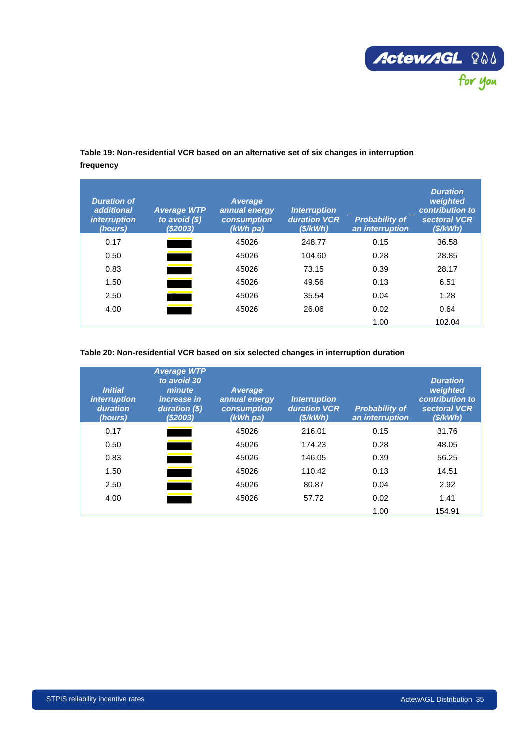

## <span id="page-42-0"></span>**Table 19: Non-residential VCR based on an alternative set of six changes in interruption frequency**

| <b>Duration of</b><br>additional<br><i>interruption</i><br>(hours) | <b>Average WTP</b><br>to avoid $(\$)$<br>(\$2003) | <b>Average</b><br>annual energy<br>consumption<br>$(kWh$ pa) | <b>Interruption</b><br><b>duration VCR</b><br>(S/KWh) | <b>Probability of</b><br>an interruption | <b>Duration</b><br>weighted<br>contribution to<br>sectoral VCR<br>(S/KWh) |
|--------------------------------------------------------------------|---------------------------------------------------|--------------------------------------------------------------|-------------------------------------------------------|------------------------------------------|---------------------------------------------------------------------------|
| 0.17                                                               |                                                   | 45026                                                        | 248.77                                                | 0.15                                     | 36.58                                                                     |
| 0.50                                                               |                                                   | 45026                                                        | 104.60                                                | 0.28                                     | 28.85                                                                     |
| 0.83                                                               |                                                   | 45026                                                        | 73.15                                                 | 0.39                                     | 28.17                                                                     |
| 1.50                                                               |                                                   | 45026                                                        | 49.56                                                 | 0.13                                     | 6.51                                                                      |
| 2.50                                                               |                                                   | 45026                                                        | 35.54                                                 | 0.04                                     | 1.28                                                                      |
| 4.00                                                               |                                                   | 45026                                                        | 26.06                                                 | 0.02                                     | 0.64                                                                      |
|                                                                    |                                                   |                                                              |                                                       | 1.00                                     | 102.04                                                                    |

#### <span id="page-42-1"></span>**Table 20: Non-residential VCR based on six selected changes in interruption duration**

| <b>Initial</b><br><i>interruption</i><br>duration<br>(hours) | <b>Average WTP</b><br>to avoid 30<br>minute<br><i>increase in</i><br>duration (\$)<br>(\$2003) | Average<br>annual energy<br>consumption<br>$(kWh$ pa) | <b>Interruption</b><br>duration VCR<br>(S/KWh) | <b>Probability of</b><br>an interruption | <b>Duration</b><br>weighted<br>contribution to<br>sectoral VCR<br>(S/KWh) |
|--------------------------------------------------------------|------------------------------------------------------------------------------------------------|-------------------------------------------------------|------------------------------------------------|------------------------------------------|---------------------------------------------------------------------------|
| 0.17                                                         |                                                                                                | 45026                                                 | 216.01                                         | 0.15                                     | 31.76                                                                     |
| 0.50                                                         |                                                                                                | 45026                                                 | 174.23                                         | 0.28                                     | 48.05                                                                     |
| 0.83                                                         |                                                                                                | 45026                                                 | 146.05                                         | 0.39                                     | 56.25                                                                     |
| 1.50                                                         |                                                                                                | 45026                                                 | 110.42                                         | 0.13                                     | 14.51                                                                     |
| 2.50                                                         |                                                                                                | 45026                                                 | 80.87                                          | 0.04                                     | 2.92                                                                      |
| 4.00                                                         |                                                                                                | 45026                                                 | 57.72                                          | 0.02                                     | 1.41                                                                      |
|                                                              |                                                                                                |                                                       |                                                | 1.00                                     | 154.91                                                                    |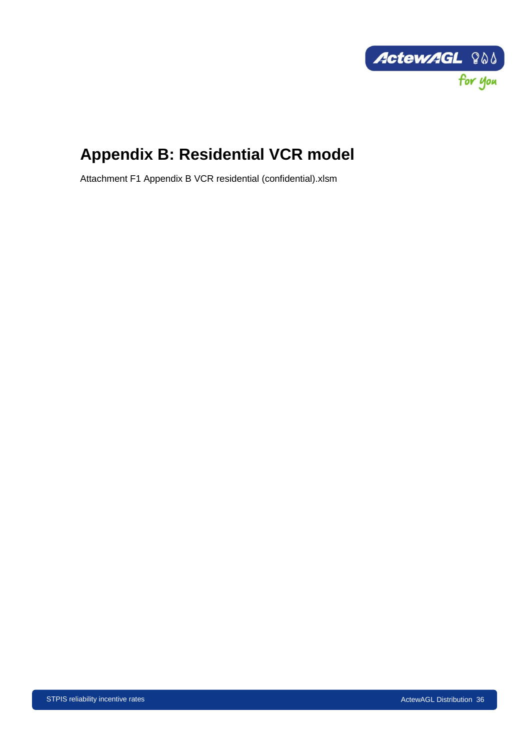

# <span id="page-43-0"></span>**Appendix B: Residential VCR model**

Attachment F1 Appendix B VCR residential (confidential).xlsm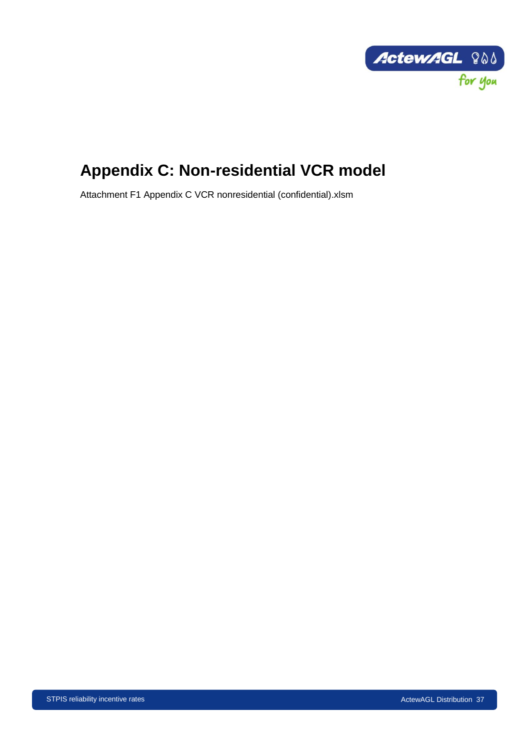

# <span id="page-44-0"></span>**Appendix C: Non-residential VCR model**

Attachment F1 Appendix C VCR nonresidential (confidential).xlsm